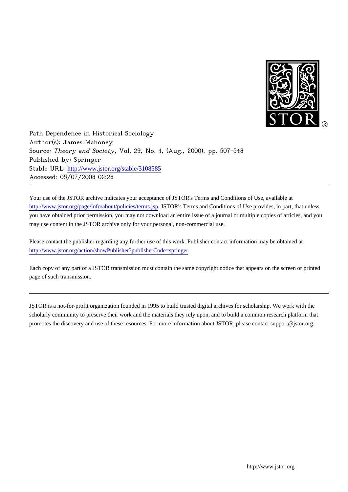

Path Dependence in Historical Sociology Author(s): James Mahoney Source: Theory and Society, Vol. 29, No. 4, (Aug., 2000), pp. 507-548 Published by: Springer Stable URL: [http://www.jstor.org/stable/3108585](http://www.jstor.org/stable/3108585?origin=JSTOR-pdf) Accessed: 05/07/2008 02:28

Your use of the JSTOR archive indicates your acceptance of JSTOR's Terms and Conditions of Use, available at <http://www.jstor.org/page/info/about/policies/terms.jsp>. JSTOR's Terms and Conditions of Use provides, in part, that unless you have obtained prior permission, you may not download an entire issue of a journal or multiple copies of articles, and you may use content in the JSTOR archive only for your personal, non-commercial use.

Please contact the publisher regarding any further use of this work. Publisher contact information may be obtained at [http://www.jstor.org/action/showPublisher?publisherCode=springer.](http://www.jstor.org/action/showPublisher?publisherCode=springer)

Each copy of any part of a JSTOR transmission must contain the same copyright notice that appears on the screen or printed page of such transmission.

JSTOR is a not-for-profit organization founded in 1995 to build trusted digital archives for scholarship. We work with the scholarly community to preserve their work and the materials they rely upon, and to build a common research platform that promotes the discovery and use of these resources. For more information about JSTOR, please contact support@jstor.org.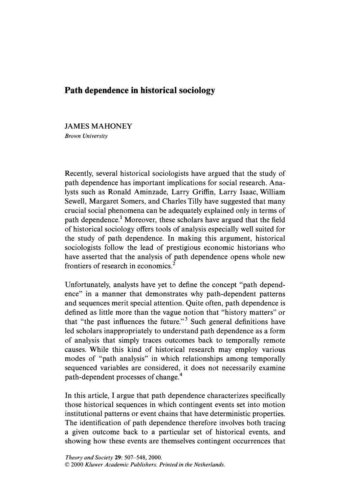# **Path dependence in historical sociology**

**JAMES MAHONEY Brown University** 

**Recently, several historical sociologists have argued that the study of path dependence has important implications for social research. Analysts such as Ronald Aminzade, Larry Griffin, Larry Isaac, William Sewell, Margaret Somers, and Charles Tilly have suggested that many crucial social phenomena can be adequately explained only in terms of path dependence.1 Moreover, these scholars have argued that the field of historical sociology offers tools of analysis especially well suited for the study of path dependence. In making this argument, historical sociologists follow the lead of prestigious economic historians who have asserted that the analysis of path dependence opens whole new frontiers of research in economics.2** 

**Unfortunately, analysts have yet to define the concept "path dependence" in a manner that demonstrates why path-dependent patterns and sequences merit special attention. Quite often, path dependence is defined as little more than the vague notion that "history matters" or that "the past influences the future."3 Such general definitions have led scholars inappropriately to understand path dependence as a form of analysis that simply traces outcomes back to temporally remote causes. While this kind of historical research may employ various modes of "path analysis" in which relationships among temporally sequenced variables are considered, it does not necessarily examine path-dependent processes of change.4** 

**In this article, I argue that path dependence characterizes specifically those historical sequences in which contingent events set into motion institutional patterns or event chains that have deterministic properties. The identification of path dependence therefore involves both tracing a given outcome back to a particular set of historical events, and showing how these events are themselves contingent occurrences that**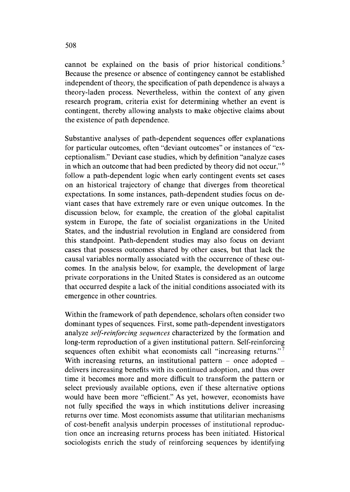**cannot be explained on the basis of prior historical conditions.5 Because the presence or absence of contingency cannot be established independent of theory, the specification of path dependence is always a theory-laden process. Nevertheless, within the context of any given research program, criteria exist for determining whether an event is contingent, thereby allowing analysts to make objective claims about the existence of path dependence.** 

**Substantive analyses of path-dependent sequences offer explanations for particular outcomes, often "deviant outcomes" or instances of "exceptionalism." Deviant case studies, which by definition "analyze cases in which an outcome that had been predicted by theory did not occur," <sup>6</sup> follow a path-dependent logic when early contingent events set cases on an historical trajectory of change that diverges from theoretical expectations. In some instances, path-dependent studies focus on deviant cases that have extremely rare or even unique outcomes. In the discussion below, for example, the creation of the global capitalist system in Europe, the fate of socialist organizations in the United States, and the industrial revolution in England are considered from this standpoint. Path-dependent studies may also focus on deviant cases that possess outcomes shared by other cases, but that lack the causal variables normally associated with the occurrence of these outcomes. In the analysis below, for example, the development of large private corporations in the United States is considered as an outcome that occurred despite a lack of the initial conditions associated with its emergence in other countries.** 

**Within the framework of path dependence, scholars often consider two dominant types of sequences. First, some path-dependent investigators analyze self-reinforcing sequences characterized by the formation and long-term reproduction of a given institutional pattern. Self-reinforcing sequences often exhibit what economists call "increasing returns."7**  With increasing returns, an institutional pattern – once adopted – **delivers increasing benefits with its continued adoption, and thus over time it becomes more and more difficult to transform the pattern or select previously available options, even if these alternative options would have been more "efficient." As yet, however, economists have not fully specified the ways in which institutions deliver increasing returns over time. Most economists assume that utilitarian mechanisms of cost-benefit analysis underpin processes of institutional reproduction once an increasing returns process has been initiated. Historical sociologists enrich the study of reinforcing sequences by identifying**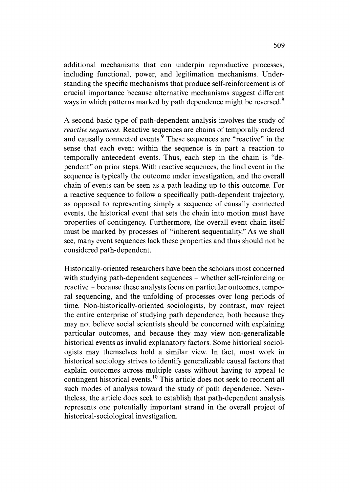**additional mechanisms that can underpin reproductive processes, including functional, power, and legitimation mechanisms. Understanding the specific mechanisms that produce self-reinforcement is of crucial importance because alternative mechanisms suggest different ways in which patterns marked by path dependence might be reversed.8** 

**A second basic type of path-dependent analysis involves the study of reactive sequences. Reactive sequences are chains of temporally ordered and causally connected events.9 These sequences are "reactive" in the sense that each event within the sequence is in part a reaction to temporally antecedent events. Thus, each step in the chain is "dependent" on prior steps. With reactive sequences, the final event in the sequence is typically the outcome under investigation, and the overall chain of events can be seen as a path leading up to this outcome. For a reactive sequence to follow a specifically path-dependent trajectory, as opposed to representing simply a sequence of causally connected events, the historical event that sets the chain into motion must have properties of contingency. Furthermore, the overall event chain itself must be marked by processes of "inherent sequentiality." As we shall see, many event sequences lack these properties and thus should not be considered path-dependent.** 

**Historically-oriented researchers have been the scholars most concerned**  with studying path-dependent sequences – whether self-reinforcing or **reactive - because these analysts focus on particular outcomes, temporal sequencing, and the unfolding of processes over long periods of time. Non-historically-oriented sociologists, by contrast, may reject the entire enterprise of studying path dependence, both because they may not believe social scientists should be concerned with explaining particular outcomes, and because they may view non-generalizable historical events as invalid explanatory factors. Some historical sociologists may themselves hold a similar view. In fact, most work in historical sociology strives to identify generalizable causal factors that explain outcomes across multiple cases without having to appeal to contingent historical events.10 This article does not seek to reorient all such modes of analysis toward the study of path dependence. Nevertheless, the article does seek to establish that path-dependent analysis represents one potentially important strand in the overall project of historical-sociological investigation.**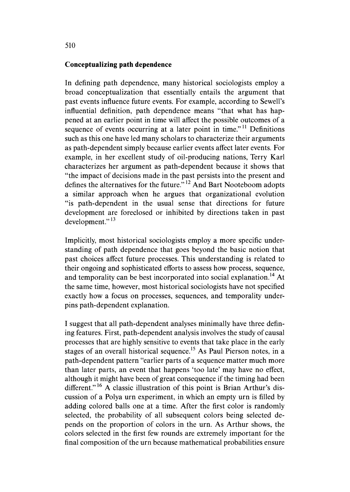### **Conceptualizing path dependence**

**In defining path dependence, many historical sociologists employ a broad conceptualization that essentially entails the argument that past events influence future events. For example, according to Sewell's influential definition, path dependence means "that what has happened at an earlier point in time will affect the possible outcomes of a sequence of events occurring at a later point in time." 1 Definitions such as this one have led many scholars to characterize their arguments as path-dependent simply because earlier events affect later events. For example, in her excellent study of oil-producing nations, Terry Karl characterizes her argument as path-dependent because it shows that "the impact of decisions made in the past persists into the present and defines the alternatives for the future."12 And Bart Nooteboom adopts a similar approach when he argues that organizational evolution "is path-dependent in the usual sense that directions for future development are foreclosed or inhibited by directions taken in past development." <sup>13</sup>**

**Implicitly, most historical sociologists employ a more specific understanding of path dependence that goes beyond the basic notion that past choices affect future processes. This understanding is related to their ongoing and sophisticated efforts to assess how process, sequence, and temporality can be best incorporated into social explanation.14 At the same time, however, most historical sociologists have not specified exactly how a focus on processes, sequences, and temporality underpins path-dependent explanation.** 

**I suggest that all path-dependent analyses minimally have three defining features. First, path-dependent analysis involves the study of causal processes that are highly sensitive to events that take place in the early**  stages of an overall historical sequence.<sup>15</sup> As Paul Pierson notes, in a **path-dependent pattern "earlier parts of a sequence matter much more than later parts, an event that happens 'too late' may have no effect, although it might have been of great consequence if the timing had been different." 16 A classic illustration of this point is Brian Arthur's discussion of a Polya urn experiment, in which an empty urn is filled by adding colored balls one at a time. After the first color is randomly selected, the probability of all subsequent colors being selected depends on the proportion of colors in the urn. As Arthur shows, the colors selected in the first few rounds are extremely important for the final composition of the urn because mathematical probabilities ensure** 

**510**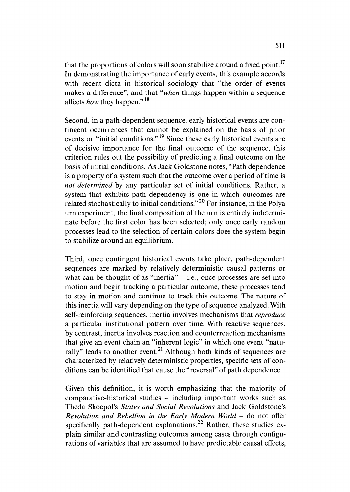**that the proportions of colors will soon stabilize around a fixed point.17 In demonstrating the importance of early events, this example accords with recent dicta in historical sociology that "the order of events makes a difference"; and that "when things happen within a sequence affects how they happen."18** 

**Second, in a path-dependent sequence, early historical events are contingent occurrences that cannot be explained on the basis of prior events or "initial conditions." 19 Since these early historical events are of decisive importance for the final outcome of the sequence, this criterion rules out the possibility of predicting a final outcome on the basis of initial conditions. As Jack Goldstone notes, "Path dependence is a property of a system such that the outcome over a period of time is not determined by any particular set of initial conditions. Rather, a system that exhibits path dependency is one in which outcomes are related stochastically to initial conditions." 20 For instance, in the Polya urn experiment, the final composition of the urn is entirely indeterminate before the first color has been selected; only once early random processes lead to the selection of certain colors does the system begin to stabilize around an equilibrium.** 

**Third, once contingent historical events take place, path-dependent sequences are marked by relatively deterministic causal patterns or what can be thought of as "inertia" - i.e., once processes are set into motion and begin tracking a particular outcome, these processes tend to stay in motion and continue to track this outcome. The nature of this inertia will vary depending on the type of sequence analyzed. With self-reinforcing sequences, inertia involves mechanisms that reproduce a particular institutional pattern over time. With reactive sequences, by contrast, inertia involves reaction and counterreaction mechanisms that give an event chain an "inherent logic" in which one event "natu**rally" leads to another event.<sup>21</sup> Although both kinds of sequences are **characterized by relatively deterministic properties, specific sets of conditions can be identified that cause the "reversal" of path dependence.** 

**Given this definition, it is worth emphasizing that the majority of comparative-historical studies - including important works such as Theda Skocpol's States and Social Revolutions and Jack Goldstone's Revolution and Rebellion in the Early Modern World - do not offer specifically path-dependent explanations.22 Rather, these studies explain similar and contrasting outcomes among cases through configurations of variables that are assumed to have predictable causal effects,**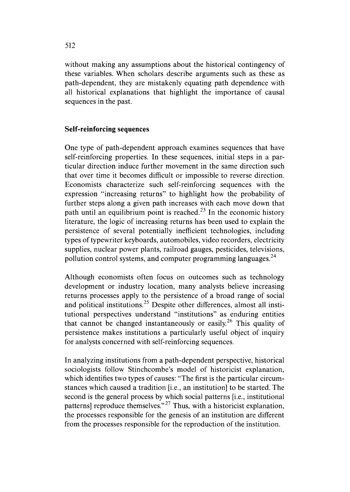**without making any assumptions about the historical contingency of these variables. When scholars describe arguments such as these as path-dependent, they are mistakenly equating path dependence with all historical explanations that highlight the importance of causal sequences in the past.** 

### **Self-reinforcing sequences**

**One type of path-dependent approach examines sequences that have self-reinforcing properties. In these sequences, initial steps in a particular direction induce further movement in the same direction such that over time it becomes difficult or impossible to reverse direction. Economists characterize such self-reinforcing sequences with the expression "increasing returns" to highlight how the probability of further steps along a given path increases with each move down that path until an equilibrium point is reached.23 In the economic history literature, the logic of increasing returns has been used to explain the persistence of several potentially inefficient technologies, including types of typewriter keyboards, automobiles, video recorders, electricity supplies, nuclear power plants, railroad gauges, pesticides, televisions, pollution control systems, and computer programming languages.24** 

**Although economists often focus on outcomes such as technology development or industry location, many analysts believe increasing returns processes apply to the persistence of a broad range of social**  and political institutions.<sup>25</sup> Despite other differences, almost all insti**tutional perspectives understand "institutions" as enduring entities that cannot be changed instantaneously or easily.26 This quality of persistence makes institutions a particularly useful object of inquiry for analysts concerned with self-reinforcing sequences.** 

**In analyzing institutions from a path-dependent perspective, historical sociologists follow Stinchcombe's model of historicist explanation, which identifies two types of causes: "The first is the particular circumstances which caused a tradition [i.e., an institution] to be started. The second is the general process by which social patterns [i.e., institutional patterns] reproduce themselves."27 Thus, with a historicist explanation, the processes responsible for the genesis of an institution are different from the processes responsible for the reproduction of the institution.**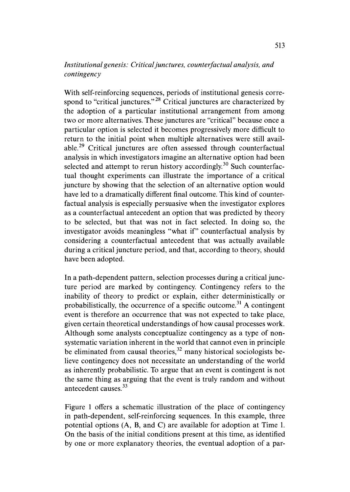# **Institutional genesis: Critical junctures, counterfactual analysis, and contingency**

**With self-reinforcing sequences, periods of institutional genesis correspond to "critical junctures."28 Critical junctures are characterized by the adoption of a particular institutional arrangement from among two or more alternatives. These junctures are "critical" because once a particular option is selected it becomes progressively more difficult to return to the initial point when multiple alternatives were still available.29 Critical junctures are often assessed through counterfactual analysis in which investigators imagine an alternative option had been**  selected and attempt to rerun history accordingly.<sup>30</sup> Such counterfac**tual thought experiments can illustrate the importance of a critical juncture by showing that the selection of an alternative option would have led to a dramatically different final outcome. This kind of counterfactual analysis is especially persuasive when the investigator explores as a counterfactual antecedent an option that was predicted by theory to be selected, but that was not in fact selected. In doing so, the investigator avoids meaningless "what if" counterfactual analysis by considering a counterfactual antecedent that was actually available during a critical juncture period, and that, according to theory, should have been adopted.** 

**In a path-dependent pattern, selection processes during a critical juncture period are marked by contingency. Contingency refers to the inability of theory to predict or explain, either deterministically or probabilistically, the occurrence of a specific outcome.31 A contingent event is therefore an occurrence that was not expected to take place, given certain theoretical understandings of how causal processes work. Although some analysts conceptualize contingency as a type of nonsystematic variation inherent in the world that cannot even in principle**  be eliminated from causal theories,<sup>32</sup> many historical sociologists be**lieve contingency does not necessitate an understanding of the world as inherently probabilistic. To argue that an event is contingent is not the same thing as arguing that the event is truly random and without antecedent causes.33** 

**Figure 1 offers a schematic illustration of the place of contingency in path-dependent, self-reinforcing sequences. In this example, three potential options (A, B, and C) are available for adoption at Time 1. On the basis of the initial conditions present at this time, as identified by one or more explanatory theories, the eventual adoption of a par-**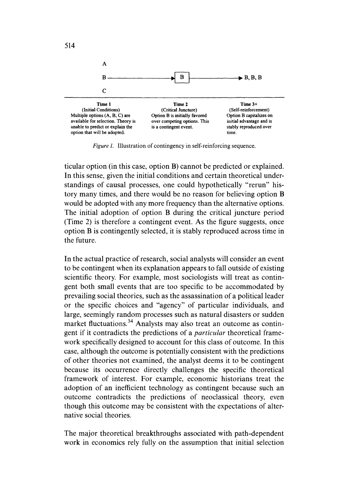

**Figure 1. Illustration of contingency in self-reinforcing sequence.** 

**ticular option (in this case, option B) cannot be predicted or explained. In this sense, given the initial conditions and certain theoretical understandings of causal processes, one could hypothetically "rerun" history many times, and there would be no reason for believing option B would be adopted with any more frequency than the alternative options. The initial adoption of option B during the critical juncture period (Time 2) is therefore a contingent event. As the figure suggests, once option B is contingently selected, it is stably reproduced across time in the future.** 

**In the actual practice of research, social analysts will consider an event to be contingent when its explanation appears to fall outside of existing scientific theory. For example, most sociologists will treat as contingent both small events that are too specific to be accommodated by prevailing social theories, such as the assassination of a political leader or the specific choices and "agency" of particular individuals, and large, seemingly random processes such as natural disasters or sudden**  market fluctuations.<sup>34</sup> Analysts may also treat an outcome as contin**gent if it contradicts the predictions of a particular theoretical framework specifically designed to account for this class of outcome. In this case, although the outcome is potentially consistent with the predictions of other theories not examined, the analyst deems it to be contingent because its occurrence directly challenges the specific theoretical framework of interest. For example, economic historians treat the adoption of an inefficient technology as contingent because such an outcome contradicts the predictions of neoclassical theory, even though this outcome may be consistent with the expectations of alternative social theories.** 

**The major theoretical breakthroughs associated with path-dependent work in economics rely fully on the assumption that initial selection**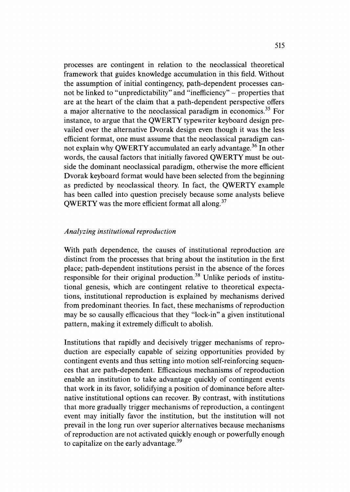**processes are contingent in relation to the neoclassical theoretical framework that guides knowledge accumulation in this field. Without the assumption of initial contingency, path-dependent processes cannot be linked to "unpredictability" and "inefficiency" - properties that are at the heart of the claim that a path-dependent perspective offers a major alternative to the neoclassical paradigm in economics.35 For instance, to argue that the QWERTY typewriter keyboard design prevailed over the alternative Dvorak design even though it was the less efficient format, one must assume that the neoclassical paradigm cannot explain why QWERTY accumulated an early advantage.36 In other words, the causal factors that initially favored QWERTY must be outside the dominant neoclassical paradigm, otherwise the more efficient Dvorak keyboard format would have been selected from the beginning as predicted by neoclassical theory. In fact, the QWERTY example has been called into question precisely because some analysts believe QWERTY was the more efficient format all along.37** 

### **Analyzing institutional reproduction**

**With path dependence, the causes of institutional reproduction are distinct from the processes that bring about the institution in the first place; path-dependent institutions persist in the absence of the forces responsible for their original production.38 Unlike periods of institutional genesis, which are contingent relative to theoretical expectations, institutional reproduction is explained by mechanisms derived from predominant theories. In fact, these mechanisms of reproduction may be so causally efficacious that they "lock-in" a given institutional pattern, making it extremely difficult to abolish.** 

**Institutions that rapidly and decisively trigger mechanisms of reproduction are especially capable of seizing opportunities provided by contingent events and thus setting into motion self-reinforcing sequences that are path-dependent. Efficacious mechanisms of reproduction enable an institution to take advantage quickly of contingent events that work in its favor, solidifying a position of dominance before alternative institutional options can recover. By contrast, with institutions that more gradually trigger mechanisms of reproduction, a contingent event may initially favor the institution, but the institution will not prevail in the long run over superior alternatives because mechanisms of reproduction are not activated quickly enough or powerfully enough to capitalize on the early advantage.39**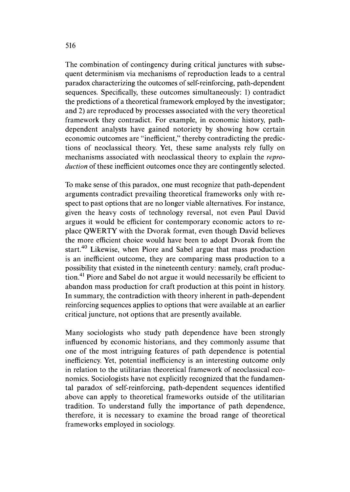**The combination of contingency during critical junctures with subsequent determinism via mechanisms of reproduction leads to a central paradox characterizing the outcomes of self-reinforcing, path-dependent sequences. Specifically, these outcomes simultaneously: 1) contradict the predictions of a theoretical framework employed by the investigator; and 2) are reproduced by processes associated with the very theoretical framework they contradict. For example, in economic history, pathdependent analysts have gained notoriety by showing how certain economic outcomes are "inefficient," thereby contradicting the predictions of neoclassical theory. Yet, these same analysts rely fully on mechanisms associated with neoclassical theory to explain the reproduction of these inefficient outcomes once they are contingently selected.** 

**To make sense of this paradox, one must recognize that path-dependent arguments contradict prevailing theoretical frameworks only with respect to past options that are no longer viable alternatives. For instance, given the heavy costs of technology reversal, not even Paul David argues it would be efficient for contemporary economic actors to replace QWERTY with the Dvorak format, even though David believes the more efficient choice would have been to adopt Dvorak from the start.40 Likewise, when Piore and Sabel argue that mass production is an inefficient outcome, they are comparing mass production to a possibility that existed in the nineteenth century: namely, craft production.41 Piore and Sabel do not argue it would necessarily be efficient to abandon mass production for craft production at this point in history. In summary, the contradiction with theory inherent in path-dependent reinforcing sequences applies to options that were available at an earlier critical juncture, not options that are presently available.** 

**Many sociologists who study path dependence have been strongly influenced by economic historians, and they commonly assume that one of the most intriguing features of path dependence is potential inefficiency. Yet, potential inefficiency is an interesting outcome only in relation to the utilitarian theoretical framework of neoclassical economics. Sociologists have not explicitly recognized that the fundamental paradox of self-reinforcing, path-dependent sequences identified above can apply to theoretical frameworks outside of the utilitarian tradition. To understand fully the importance of path dependence, therefore, it is necessary to examine the broad range of theoretical frameworks employed in sociology.**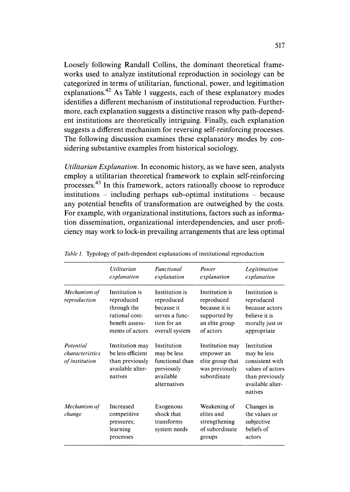**Loosely following Randall Collins, the dominant theoretical frameworks used to analyze institutional reproduction in sociology can be categorized in terms of utilitarian, functional, power, and legitimation explanations.42 As Table 1 suggests, each of these explanatory modes identifies a different mechanism of institutional reproduction. Furthermore, each explanation suggests a distinctive reason why path-dependent institutions are theoretically intriguing. Finally, each explanation suggests a different mechanism for reversing self-reinforcing processes. The following discussion examines these explanatory modes by considering substantive examples from historical sociology.** 

**Utilitarian Explanation. In economic history, as we have seen, analysts employ a utilitarian theoretical framework to explain self-reinforcing processes.43 In this framework, actors rationally choose to reproduce institutions - including perhaps sub-optimal institutions - because any potential benefits of transformation are outweighed by the costs. For example, with organizational institutions, factors such as information dissemination, organizational interdependencies, and user proficiency may work to lock-in prevailing arrangements that are less optimal** 

|                                                | Utilitarian<br>explanation                                                                          | <b>Functional</b><br>explanation                                                              | Power<br>explanation                                                                         | Legitimation<br>explanation                                                                                         |
|------------------------------------------------|-----------------------------------------------------------------------------------------------------|-----------------------------------------------------------------------------------------------|----------------------------------------------------------------------------------------------|---------------------------------------------------------------------------------------------------------------------|
| Mechanism of<br>reproduction                   | Institution is<br>reproduced<br>through the<br>rational cost-<br>benefit assess-<br>ments of actors | Institution is<br>reproduced<br>because it<br>serves a func-<br>tion for an<br>overall system | Institution is<br>reproduced<br>because it is<br>supported by<br>an elite group<br>of actors | Institution is<br>reproduced<br>because actors<br>believe it is<br>morally just or<br>appropriate                   |
| Potential<br>characteristics<br>of institution | Institution may<br>be less efficient<br>than previously<br>available alter-<br>natives              | Institution<br>may be less<br>functional than<br>previously<br>available<br>alternatives      | Institution may<br>empower an<br>elite group that<br>was previously<br>subordinate           | Institution<br>may be less<br>consistent with<br>values of actors<br>than previously<br>available alter-<br>natives |
| Mechanism of<br>change                         | Increased<br>competitive<br>pressures;<br>learning<br>processes                                     | Exogenous<br>shock that<br>transforms<br>system needs                                         | Weakening of<br>elites and<br>strengthening<br>of subordinate<br>groups                      | Changes in<br>the values or<br>subjective<br>beliefs of<br>actors                                                   |

**Table 1. Typology of path-dependent explanations of institutional reproduction**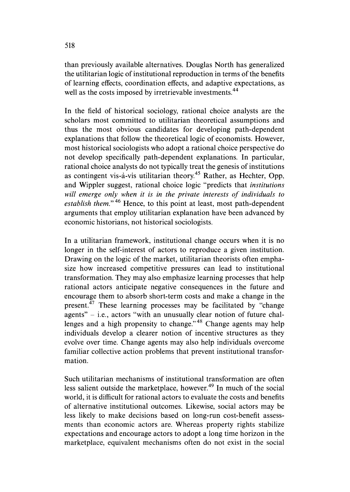**than previously available alternatives. Douglas North has generalized the utilitarian logic of institutional reproduction in terms of the benefits of learning effects, coordination effects, and adaptive expectations, as well as the costs imposed by irretrievable investments.44** 

**In the field of historical sociology, rational choice analysts are the scholars most committed to utilitarian theoretical assumptions and thus the most obvious candidates for developing path-dependent explanations that follow the theoretical logic of economists. However, most historical sociologists who adopt a rational choice perspective do not develop specifically path-dependent explanations. In particular, rational choice analysts do not typically treat the genesis of institutions**  as contingent vis-à-vis utilitarian theory.<sup>45</sup> Rather, as Hechter, Opp, **and Wippler suggest, rational choice logic "predicts that institutions will emerge only when it is in the private interests of individuals to establish them."46 Hence, to this point at least, most path-dependent arguments that employ utilitarian explanation have been advanced by economic historians, not historical sociologists.** 

**In a utilitarian framework, institutional change occurs when it is no longer in the self-interest of actors to reproduce a given institution. Drawing on the logic of the market, utilitarian theorists often emphasize how increased competitive pressures can lead to institutional transformation. They may also emphasize learning processes that help rational actors anticipate negative consequences in the future and encourage them to absorb short-term costs and make a change in the present.47 These learning processes may be facilitated by "change agents" - i.e., actors "with an unusually clear notion of future chal**lenges and a high propensity to change.<sup>"48</sup> Change agents may help **individuals develop a clearer notion of incentive structures as they evolve over time. Change agents may also help individuals overcome familiar collective action problems that prevent institutional transformation.** 

**Such utilitarian mechanisms of institutional transformation are often less salient outside the marketplace, however.49 In much of the social world, it is difficult for rational actors to evaluate the costs and benefits of alternative institutional outcomes. Likewise, social actors may be less likely to make decisions based on long-run cost-benefit assessments than economic actors are. Whereas property rights stabilize expectations and encourage actors to adopt a long time horizon in the marketplace, equivalent mechanisms often do not exist in the social**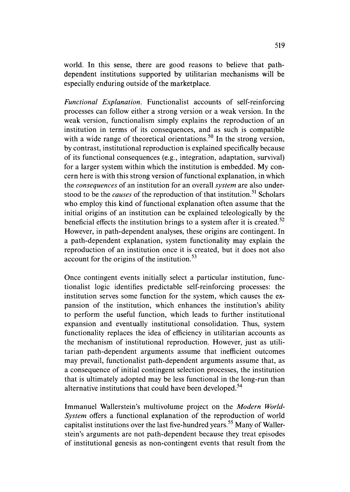**world. In this sense, there are good reasons to believe that pathdependent institutions supported by utilitarian mechanisms will be especially enduring outside of the marketplace.** 

**Functional Explanation. Functionalist accounts of self-reinforcing processes can follow either a strong version or a weak version. In the weak version, functionalism simply explains the reproduction of an institution in terms of its consequences, and as such is compatible**  with a wide range of theoretical orientations.<sup>50</sup> In the strong version, **by contrast, institutional reproduction is explained specifically because of its functional consequences (e.g., integration, adaptation, survival) for a larger system within which the institution is embedded. My concern here is with this strong version of functional explanation, in which the consequences of an institution for an overall system are also under**stood to be the *causes* of the reproduction of that institution.<sup>51</sup> Scholars **who employ this kind of functional explanation often assume that the initial origins of an institution can be explained teleologically by the beneficial effects the institution brings to a system after it is created.52 However, in path-dependent analyses, these origins are contingent. In a path-dependent explanation, system functionality may explain the reproduction of an institution once it is created, but it does not also account for the origins of the institution.53** 

**Once contingent events initially select a particular institution, functionalist logic identifies predictable self-reinforcing processes: the institution serves some function for the system, which causes the expansion of the institution, which enhances the institution's ability to perform the useful function, which leads to further institutional expansion and eventually institutional consolidation. Thus, system functionality replaces the idea of efficiency in utilitarian accounts as the mechanism of institutional reproduction. However, just as utilitarian path-dependent arguments assume that inefficient outcomes may prevail, functionalist path-dependent arguments assume that, as a consequence of initial contingent selection processes, the institution that is ultimately adopted may be less functional in the long-run than alternative institutions that could have been developed.54** 

**Immanuel Wallerstein's multivolume project on the Modern World-System offers a functional explanation of the reproduction of world capitalist institutions over the last five-hundred years.55 Many of Wallerstein's arguments are not path-dependent because they treat episodes of institutional genesis as non-contingent events that result from the**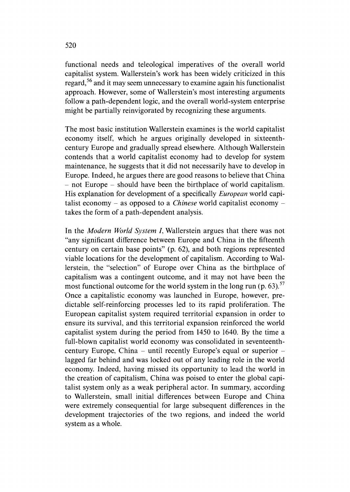**functional needs and teleological imperatives of the overall world capitalist system. Wallerstein's work has been widely criticized in this regard,56 and it may seem unnecessary to examine again his functionalist approach. However, some of Wallerstein's most interesting arguments follow a path-dependent logic, and the overall world-system enterprise might be partially reinvigorated by recognizing these arguments.** 

**The most basic institution Wallerstein examines is the world capitalist economy itself, which he argues originally developed in sixteenthcentury Europe and gradually spread elsewhere. Although Wallerstein contends that a world capitalist economy had to develop for system maintenance, he suggests that it did not necessarily have to develop in Europe. Indeed, he argues there are good reasons to believe that China - not Europe - should have been the birthplace of world capitalism. His explanation for development of a specifically European world capitalist economy - as opposed to a Chinese world capitalist economy takes the form of a path-dependent analysis.** 

**In the Modern World System I, Wallerstein argues that there was not "any significant difference between Europe and China in the fifteenth century on certain base points" (p. 62), and both regions represented viable locations for the development of capitalism. According to Wallerstein, the "selection" of Europe over China as the birthplace of capitalism was a contingent outcome, and it may not have been the most functional outcome for the world system in the long run (p. 63).57 Once a capitalistic economy was launched in Europe, however, predictable self-reinforcing processes led to its rapid proliferation. The European capitalist system required territorial expansion in order to ensure its survival, and this territorial expansion reinforced the world capitalist system during the period from 1450 to 1640. By the time a full-blown capitalist world economy was consolidated in seventeenth**century Europe, China – until recently Europe's equal or superior – **lagged far behind and was locked out of any leading role in the world economy. Indeed, having missed its opportunity to lead the world in the creation of capitalism, China was poised to enter the global capitalist system only as a weak peripheral actor. In summary, according to Wallerstein, small initial differences between Europe and China were extremely consequential for large subsequent differences in the development trajectories of the two regions, and indeed the world system as a whole.**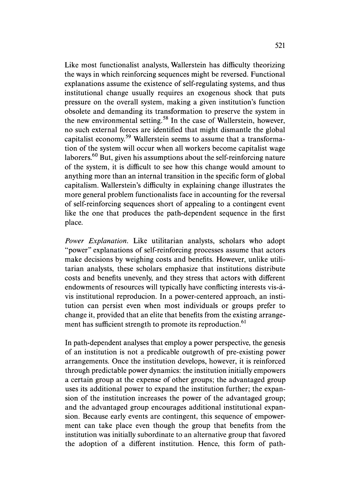**Like most functionalist analysts, Wallerstein has difficulty theorizing the ways in which reinforcing sequences might be reversed. Functional explanations assume the existence of self-regulating systems, and thus institutional change usually requires an exogenous shock that puts pressure on the overall system, making a given institution's function obsolete and demanding its transformation to preserve the system in the new environmental setting.58 In the case of Wallerstein, however, no such external forces are identified that might dismantle the global capitalist economy.59 Wallerstein seems to assume that a transformation of the system will occur when all workers become capitalist wage laborers.60 But, given his assumptions about the self-reinforcing nature of the system, it is difficult to see how this change would amount to anything more than an internal transition in the specific form of global capitalism. Wallerstein's difficulty in explaining change illustrates the more general problem functionalists face in accounting for the reversal of self-reinforcing sequences short of appealing to a contingent event like the one that produces the path-dependent sequence in the first place.** 

**Power Explanation. Like utilitarian analysts, scholars who adopt "power" explanations of self-reinforcing processes assume that actors make decisions by weighing costs and benefits. However, unlike utilitarian analysts, these scholars emphasize that institutions distribute costs and benefits unevenly, and they stress that actors with different endowments of resources will typically have conflicting interests vis-avis institutional reproducion. In a power-centered approach, an institution can persist even when most individuals or groups prefer to change it, provided that an elite that benefits from the existing arrange**ment has sufficient strength to promote its reproduction.<sup>61</sup>

**In path-dependent analyses that employ a power perspective, the genesis of an institution is not a predicable outgrowth of pre-existing power arrangements. Once the institution develops, however, it is reinforced through predictable power dynamics: the institution initially empowers a certain group at the expense of other groups; the advantaged group uses its additional power to expand the institution further; the expansion of the institution increases the power of the advantaged group; and the advantaged group encourages additional institutional expansion. Because early events are contingent, this sequence of empowerment can take place even though the group that benefits from the institution was initially subordinate to an alternative group that favored the adoption of a different institution. Hence, this form of path-**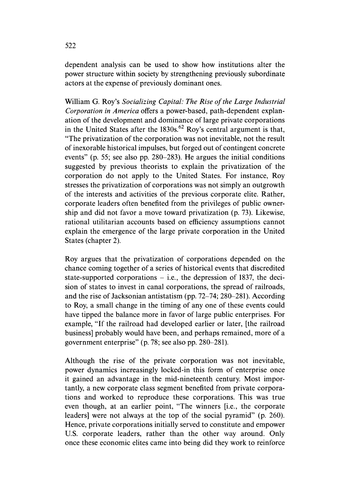**dependent analysis can be used to show how institutions alter the power structure within society by strengthening previously subordinate actors at the expense of previously dominant ones.** 

**William G. Roy's Socializing Capital: The Rise of the Large Industrial Corporation in America offers a power-based, path-dependent explanation of the development and dominance of large private corporations in the United States after the 1830s.62 Roy's central argument is that, "The privatization of the corporation was not inevitable, not the result of inexorable historical impulses, but forged out of contingent concrete events" (p. 55; see also pp. 280-283). He argues the initial conditions suggested by previous theorists to explain the privatization of the corporation do not apply to the United States. For instance, Roy stresses the privatization of corporations was not simply an outgrowth of the interests and activities of the previous corporate elite. Rather, corporate leaders often benefited from the privileges of public ownership and did not favor a move toward privatization (p. 73). Likewise, rational utilitarian accounts based on efficiency assumptions cannot explain the emergence of the large private corporation in the United States (chapter 2).** 

**Roy argues that the privatization of corporations depended on the chance coming together of a series of historical events that discredited state-supported corporations - i.e., the depression of 1837, the decision of states to invest in canal corporations, the spread of railroads, and the rise of Jacksonian antistatism (pp. 72-74; 280-281). According to Roy, a small change in the timing of any one of these events could have tipped the balance more in favor of large public enterprises. For example, "If the railroad had developed earlier or later, [the railroad business] probably would have been, and perhaps remained, more of a government enterprise" (p. 78; see also pp. 280-281).** 

**Although the rise of the private corporation was not inevitable, power dynamics increasingly locked-in this form of enterprise once it gained an advantage in the mid-nineteenth century. Most importantly, a new corporate class segment benefited from private corporations and worked to reproduce these corporations. This was true even though, at an earlier point, "The winners [i.e., the corporate leaders] were not always at the top of the social pyramid" (p. 260). Hence, private corporations initially served to constitute and empower U.S. corporate leaders, rather than the other way around. Only once these economic elites came into being did they work to reinforce**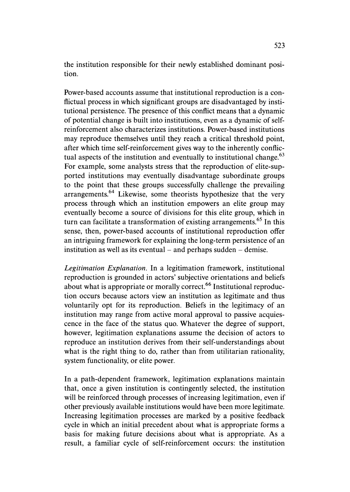**the institution responsible for their newly established dominant position.** 

**Power-based accounts assume that institutional reproduction is a conflictual process in which significant groups are disadvantaged by institutional persistence. The presence of this conflict means that a dynamic of potential change is built into institutions, even as a dynamic of selfreinforcement also characterizes institutions. Power-based institutions may reproduce themselves until they reach a critical threshold point, after which time self-reinforcement gives way to the inherently conflictual aspects of the institution and eventually to institutional change.63 For example, some analysts stress that the reproduction of elite-supported institutions may eventually disadvantage subordinate groups to the point that these groups successfully challenge the prevailing arrangements.64 Likewise, some theorists hypothesize that the very process through which an institution empowers an elite group may eventually become a source of divisions for this elite group, which in turn can facilitate a transformation of existing arrangements.65 In this sense, then, power-based accounts of institutional reproduction offer an intriguing framework for explaining the long-term persistence of an**  institution as well as its eventual – and perhaps sudden – demise.

**Legitimation Explanation. In a legitimation framework, institutional reproduction is grounded in actors' subjective orientations and beliefs about what is appropriate or morally correct.66 Institutional reproduction occurs because actors view an institution as legitimate and thus voluntarily opt for its reproduction. Beliefs in the legitimacy of an institution may range from active moral approval to passive acquiescence in the face of the status quo. Whatever the degree of support, however, legitimation explanations assume the decision of actors to reproduce an institution derives from their self-understandings about what is the right thing to do, rather than from utilitarian rationality, system functionality, or elite power.** 

**In a path-dependent framework, legitimation explanations maintain that, once a given institution is contingently selected, the institution will be reinforced through processes of increasing legitimation, even if other previously available institutions would have been more legitimate. Increasing legitimation processes are marked by a positive feedback cycle in which an initial precedent about what is appropriate forms a basis for making future decisions about what is appropriate. As a result, a familiar cycle of self-reinforcement occurs: the institution**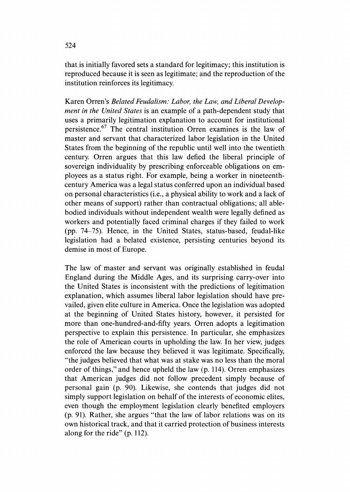**that is initially favored sets a standard for legitimacy; this institution is reproduced because it is seen as legitimate; and the reproduction of the institution reinforces its legitimacy.** 

**Karen Orren's Belated Feudalism. Labor, the Law, and Liberal Development in the United States is an example of a path-dependent study that uses a primarily legitimation explanation to account for institutional persistence.67 The central institution Orren examines is the law of master and servant that characterized labor legislation in the United States from the beginning of the republic until well into the twentieth century. Orren argues that this law defied the liberal principle of sovereign individuality by prescribing enforceable obligations on employees as a status right. For example, being a worker in nineteenthcentury America was a legal status conferred upon an individual based on personal characteristics (i.e., a physical ability to work and a lack of other means of support) rather than contractual obligations; all ablebodied individuals without independent wealth were legally defined as workers and potentially faced criminal charges if they failed to work (pp. 74-75). Hence, in the United States, status-based, feudal-like legislation had a belated existence, persisting centuries beyond its demise in most of Europe.** 

**The law of master and servant was originally established in feudal England during the Middle Ages, and its surprising carry-over into the United States is inconsistent with the predictions of legitimation explanation, which assumes liberal labor legislation should have prevailed, given elite culture in America. Once the legislation was adopted at the beginning of United States history, however, it persisted for more than one-hundred-and-fifty years. Orren adopts a legitimation perspective to explain this persistence. In particular, she emphasizes the role of American courts in upholding the law. In her view, judges enforced the law because they believed it was legitimate. Specifically, "the judges believed that what was at stake was no less than the moral order of things," and hence upheld the law (p. 114). Orren emphasizes that American judges did not follow precedent simply because of personal gain (p. 90). Likewise, she contends that judges did not simply support legislation on behalf of the interests of economic elites, even though the employment legislation clearly benefited employers (p. 91). Rather, she argues "that the law of labor relations was on its own historical track, and that it carried protection of business interests along for the ride" (p. 112).**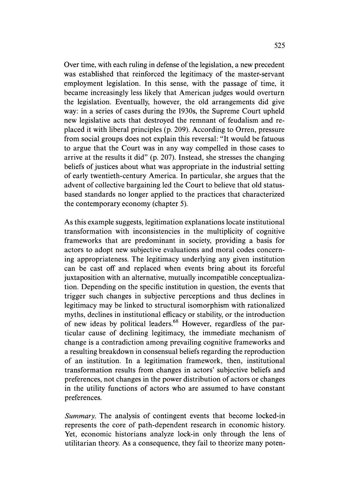**Over time, with each ruling in defense of the legislation, a new precedent was established that reinforced the legitimacy of the master-servant employment legislation. In this sense, with the passage of time, it became increasingly less likely that American judges would overturn the legislation. Eventually, however, the old arrangements did give way: in a series of cases during the 1930s, the Supreme Court upheld new legislative acts that destroyed the remnant of feudalism and replaced it with liberal principles (p. 209). According to Orren, pressure from social groups does not explain this reversal: "It would be fatuous to argue that the Court was in any way compelled in those cases to arrive at the results it did" (p. 207). Instead, she stresses the changing beliefs of justices about what was appropriate in the industrial setting of early twentieth-century America. In particular, she argues that the advent of collective bargaining led the Court to believe that old statusbased standards no longer applied to the practices that characterized the contemporary economy (chapter 5).** 

**As this example suggests, legitimation explanations locate institutional transformation with inconsistencies in the multiplicity of cognitive frameworks that are predominant in society, providing a basis for actors to adopt new subjective evaluations and moral codes concerning appropriateness. The legitimacy underlying any given institution can be cast off and replaced when events bring about its forceful juxtaposition with an alternative, mutually incompatible conceptualization. Depending on the specific institution in question, the events that trigger such changes in subjective perceptions and thus declines in legitimacy may be linked to structural isomorphism with rationalized myths, declines in institutional efficacy or stability, or the introduction of new ideas by political leaders.68 However, regardless of the particular cause of declining legitimacy, the immediate mechanism of change is a contradiction among prevailing cognitive frameworks and a resulting breakdown in consensual beliefs regarding the reproduction of an institution. In a legitimation framework, then, institutional transformation results from changes in actors' subjective beliefs and preferences, not changes in the power distribution of actors or changes in the utility functions of actors who are assumed to have constant preferences.** 

**Summary. The analysis of contingent events that become locked-in represents the core of path-dependent research in economic history. Yet, economic historians analyze lock-in only through the lens of utilitarian theory. As a consequence, they fail to theorize many poten-**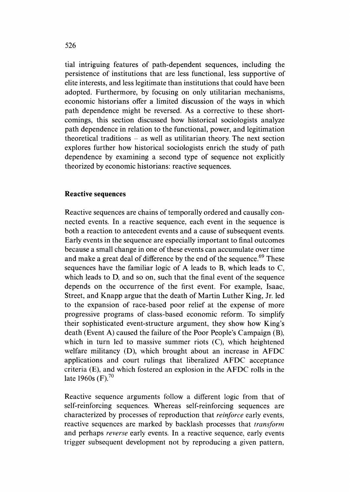**tial intriguing features of path-dependent sequences, including the persistence of institutions that are less functional, less supportive of elite interests, and less legitimate than institutions that could have been adopted. Furthermore, by focusing on only utilitarian mechanisms, economic historians offer a limited discussion of the ways in which path dependence might be reversed. As a corrective to these shortcomings, this section discussed how historical sociologists analyze path dependence in relation to the functional, power, and legitimation theoretical traditions - as well as utilitarian theory. The next section explores further how historical sociologists enrich the study of path dependence by examining a second type of sequence not explicitly theorized by economic historians: reactive sequences.** 

### **Reactive sequences**

**Reactive sequences are chains of temporally ordered and causally connected events. In a reactive sequence, each event in the sequence is both a reaction to antecedent events and a cause of subsequent events. Early events in the sequence are especially important to final outcomes because a small change in one of these events can accumulate over time and make a great deal of difference by the end of the sequence.69 These sequences have the familiar logic of A leads to B, which leads to C, which leads to D, and so on, such that the final event of the sequence depends on the occurrence of the first event. For example, Isaac, Street, and Knapp argue that the death of Martin Luther King, Jr. led to the expansion of race-based poor relief at the expense of more progressive programs of class-based economic reform. To simplify their sophisticated event-structure argument, they show how King's death (Event A) caused the failure of the Poor People's Campaign (B), which in turn led to massive summer riots (C), which heightened welfare militancy (D), which brought about an increase in AFDC applications and court rulings that liberalized AFDC acceptance criteria (E), and which fostered an explosion in the AFDC rolls in the late 1960s (F).70** 

**Reactive sequence arguments follow a different logic from that of self-reinforcing sequences. Whereas self-reinforcing sequences are characterized by processes of reproduction that reinforce early events, reactive sequences are marked by backlash processes that transform and perhaps reverse early events. In a reactive sequence, early events trigger subsequent development not by reproducing a given pattern,**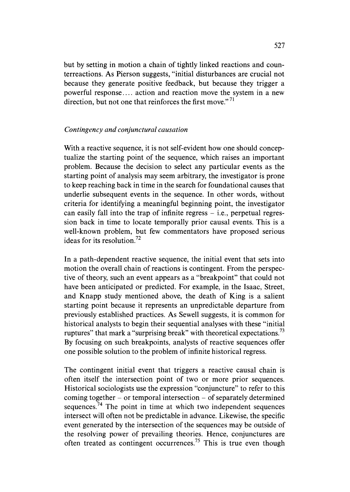**but by setting in motion a chain of tightly linked reactions and counterreactions. As Pierson suggests, "initial disturbances are crucial not because they generate positive feedback, but because they trigger a powerful response.... action and reaction move the system in a new direction, but not one that reinforces the first move."71** 

#### **Contingency and conjunctural causation**

**With a reactive sequence, it is not self-evident how one should conceptualize the starting point of the sequence, which raises an important problem. Because the decision to select any particular events as the starting point of analysis may seem arbitrary, the investigator is prone to keep reaching back in time in the search for foundational causes that underlie subsequent events in the sequence. In other words, without criteria for identifying a meaningful beginning point, the investigator**  can easily fall into the trap of infinite regress – i.e., perpetual regres**sion back in time to locate temporally prior causal events. This is a well-known problem, but few commentators have proposed serious ideas for its resolution.72** 

**In a path-dependent reactive sequence, the initial event that sets into motion the overall chain of reactions is contingent. From the perspective of theory, such an event appears as a "breakpoint" that could not have been anticipated or predicted. For example, in the Isaac, Street, and Knapp study mentioned above, the death of King is a salient starting point because it represents an unpredictable departure from previously established practices. As Sewell suggests, it is common for historical analysts to begin their sequential analyses with these "initial ruptures" that mark a "surprising break" with theoretical expectations.73 By focusing on such breakpoints, analysts of reactive sequences offer one possible solution to the problem of infinite historical regress.** 

**The contingent initial event that triggers a reactive causal chain is often itself the intersection point of two or more prior sequences. Historical sociologists use the expression "conjuncture" to refer to this coming together - or temporal intersection - of separately determined sequences.74 The point in time at which two independent sequences intersect will often not be predictable in advance. Likewise, the specific event generated by the intersection of the sequences may be outside of the resolving power of prevailing theories. Hence, conjunctures are often treated as contingent occurrences.75 This is true even though**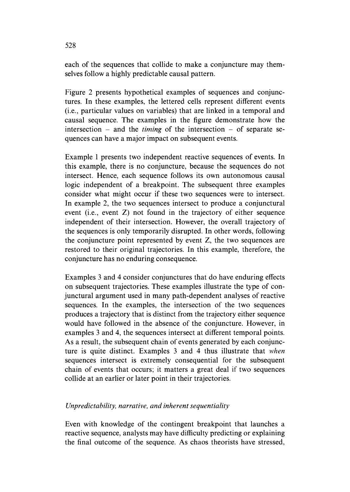**each of the sequences that collide to make a conjuncture may themselves follow a highly predictable causal pattern.** 

**Figure 2 presents hypothetical examples of sequences and conjunctures. In these examples, the lettered cells represent different events (i.e., particular values on variables) that are linked in a temporal and causal sequence. The examples in the figure demonstrate how the intersection - and the timing of the intersection - of separate sequences can have a major impact on subsequent events.** 

**Example 1 presents two independent reactive sequences of events. In this example, there is no conjuncture, because the sequences do not intersect. Hence, each sequence follows its own autonomous causal logic independent of a breakpoint. The subsequent three examples consider what might occur if these two sequences were to intersect. In example 2, the two sequences intersect to produce a conjunctural event (i.e., event Z) not found in the trajectory of either sequence independent of their intersection. However, the overall trajectory of the sequences is only temporarily disrupted. In other words, following the conjuncture point represented by event Z, the two sequences are restored to their original trajectories. In this example, therefore, the conjuncture has no enduring consequence.** 

**Examples 3 and 4 consider conjunctures that do have enduring effects on subsequent trajectories. These examples illustrate the type of conjunctural argument used in many path-dependent analyses of reactive sequences. In the examples, the intersection of the two sequences produces a trajectory that is distinct from the trajectory either sequence would have followed in the absence of the conjuncture. However, in examples 3 and 4, the sequences intersect at different temporal points. As a result, the subsequent chain of events generated by each conjuncture is quite distinct. Examples 3 and 4 thus illustrate that when sequences intersect is extremely consequential for the subsequent chain of events that occurs; it matters a great deal if two sequences collide at an earlier or later point in their trajectories.** 

## **Unpredictability, narrative, and inherent sequentiality**

**Even with knowledge of the contingent breakpoint that launches a reactive sequence, analysts may have difficulty predicting or explaining the final outcome of the sequence. As chaos theorists have stressed,**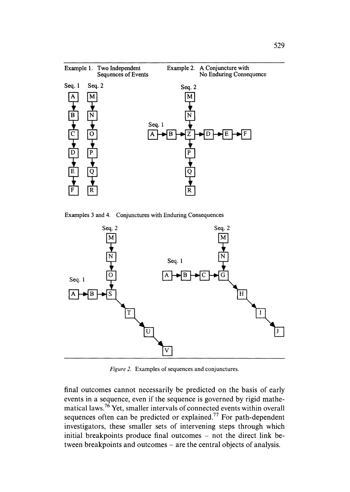

**Examples 3 and 4. Conjunctures with Enduring Consequences** 



**Figure 2. Examples of sequences and conjunctures.** 

**final outcomes cannot necessarily be predicted on the basis of early events in a sequence, even if the sequence is governed by rigid mathematical laws.76 Yet, smaller intervals of connected events within overall sequences often can be predicted or explained.77 For path-dependent investigators, these smaller sets of intervening steps through which**  initial breakpoints produce final outcomes – not the direct link be**tween breakpoints and outcomes - are the central objects of analysis.**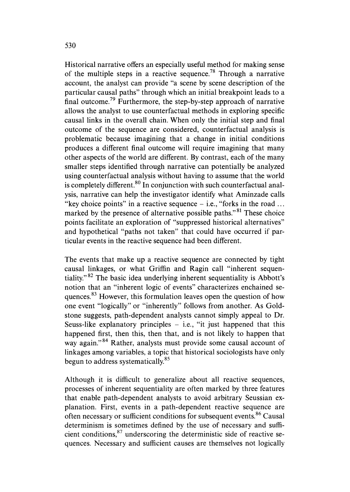**Historical narrative offers an especially useful method for making sense of the multiple steps in a reactive sequence.78 Through a narrative account, the analyst can provide "a scene by scene description of the particular causal paths" through which an initial breakpoint leads to a final outcome.79 Furthermore, the step-by-step approach of narrative allows the analyst to use counterfactual methods in exploring specific causal links in the overall chain. When only the initial step and final outcome of the sequence are considered, counterfactual analysis is problematic because imagining that a change in initial conditions produces a different final outcome will require imagining that many other aspects of the world are different. By contrast, each of the many smaller steps identified through narrative can potentially be analyzed using counterfactual analysis without having to assume that the world**  is completely different.<sup>80</sup> In conjunction with such counterfactual anal**ysis, narrative can help the investigator identify what Aminzade calls "key choice points" in a reactive sequence - i.e., "forks in the road ... marked by the presence of alternative possible paths."81 These choice points facilitate an exploration of "suppressed historical alternatives" and hypothetical "paths not taken" that could have occurred if particular events in the reactive sequence had been different.** 

**The events that make up a reactive sequence are connected by tight causal linkages, or what Griffin and Ragin call "inherent sequentiality."82 The basic idea underlying inherent sequentiality is Abbott's notion that an "inherent logic of events" characterizes enchained sequences.83 However, this formulation leaves open the question of how one event "logically" or "inherently" follows from another. As Goldstone suggests, path-dependent analysts cannot simply appeal to Dr. Seuss-like explanatory principles - i.e., "it just happened that this happened first, then this, then that, and is not likely to happen that way again."84 Rather, analysts must provide some causal account of linkages among variables, a topic that historical sociologists have only begun to address systematically.85** 

**Although it is difficult to generalize about all reactive sequences, processes of inherent sequentiality are often marked by three features that enable path-dependent analysts to avoid arbitrary Seussian explanation. First, events in a path-dependent reactive sequence are often necessary or sufficient conditions for subsequent events.86 Causal determinism is sometimes defined by the use of necessary and sufficient conditions,87 underscoring the deterministic side of reactive sequences. Necessary and sufficient causes are themselves not logically**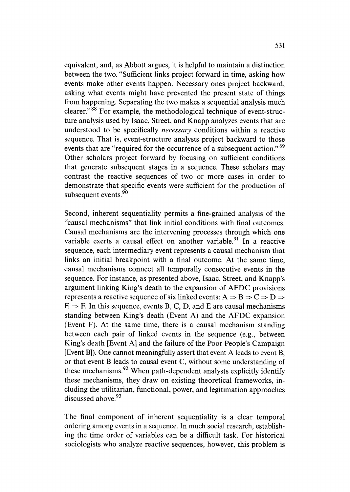**equivalent, and, as Abbott argues, it is helpful to maintain a distinction between the two. "Sufficient links project forward in time, asking how events make other events happen. Necessary ones project backward, asking what events might have prevented the present state of things from happening. Separating the two makes a sequential analysis much clearer."88 For example, the methodological technique of event-structure analysis used by Isaac, Street, and Knapp analyzes events that are understood to be specifically necessary conditions within a reactive sequence. That is, event-structure analysts project backward to those events that are "required for the occurrence of a subsequent action."89 Other scholars project forward by focusing on sufficient conditions that generate subsequent stages in a sequence. These scholars may contrast the reactive sequences of two or more cases in order to demonstrate that specific events were sufficient for the production of subsequent events.90** 

**Second, inherent sequentiality permits a fine-grained analysis of the "causal mechanisms" that link initial conditions with final outcomes. Causal mechanisms are the intervening processes through which one**  variable exerts a causal effect on another variable.<sup>91</sup> In a reactive **sequence, each intermediary event represents a causal mechanism that links an initial breakpoint with a final outcome. At the same time, causal mechanisms connect all temporally consecutive events in the sequence. For instance, as presented above, Isaac, Street, and Knapp's argument linking King's death to the expansion of AFDC provisions represents a reactive sequence of six linked events:**  $A \Rightarrow B \Rightarrow C \Rightarrow D \Rightarrow$  $E \Rightarrow F$ . In this sequence, events B, C, D, and E are causal mechanisms **standing between King's death (Event A) and the AFDC expansion (Event F). At the same time, there is a causal mechanism standing between each pair of linked events in the sequence (e.g., between King's death [Event A] and the failure of the Poor People's Campaign [Event B]). One cannot meaningfully assert that event A leads to event B, or that event B leads to causal event C, without some understanding of these mechanisms.92 When path-dependent analysts explicitly identify these mechanisms, they draw on existing theoretical frameworks, including the utilitarian, functional, power, and legitimation approaches discussed above.93** 

**The final component of inherent sequentiality is a clear temporal ordering among events in a sequence. In much social research, establishing the time order of variables can be a difficult task. For historical sociologists who analyze reactive sequences, however, this problem is**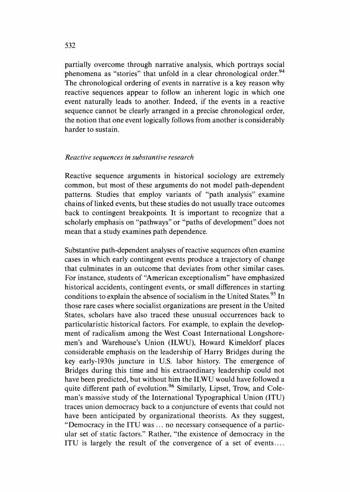**partially overcome through narrative analysis, which portrays social phenomena as "stories" that unfold in a clear chronological order.94 The chronological ordering of events in narrative is a key reason why reactive sequences appear to follow an inherent logic in which one event naturally leads to another. Indeed, if the events in a reactive sequence cannot be clearly arranged in a precise chronological order, the notion that one event logically follows from another is considerably harder to sustain.** 

#### **Reactive sequences in substantive research**

**Reactive sequence arguments in historical sociology are extremely common, but most of these arguments do not model path-dependent patterns. Studies that employ variants of "path analysis" examine chains of linked events, but these studies do not usually trace outcomes back to contingent breakpoints. It is important to recognize that a scholarly emphasis on "pathways" or "paths of development" does not mean that a study examines path dependence.** 

**Substantive path-dependent analyses of reactive sequences often examine cases in which early contingent events produce a trajectory of change that culminates in an outcome that deviates from other similar cases. For instance, students of "American exceptionalism" have emphasized historical accidents, contingent events, or small differences in starting**  conditions to explain the absence of socialism in the United States.<sup>95</sup> In **those rare cases where socialist organizations are present in the United States, scholars have also traced these unusual occurrences back to particularistic historical factors. For example, to explain the development of radicalism among the West Coast International Longshoremen's and Warehouse's Union (ILWU), Howard Kimeldorf places considerable emphasis on the leadership of Harry Bridges during the key early-1930s juncture in U.S. labor history. The emergence of Bridges during this time and his extraordinary leadership could not have been predicted, but without him the ILWU would have followed a quite different path of evolution.96 Similarly, Lipset, Trow, and Coleman's massive study of the International Typographical Union (ITU) traces union democracy back to a conjuncture of events that could not have been anticipated by organizational theorists. As they suggest, "Democracy in the ITU was ... no necessary consequence of a particular set of static factors." Rather, "the existence of democracy in the ITU is largely the result of the convergence of a set of events....**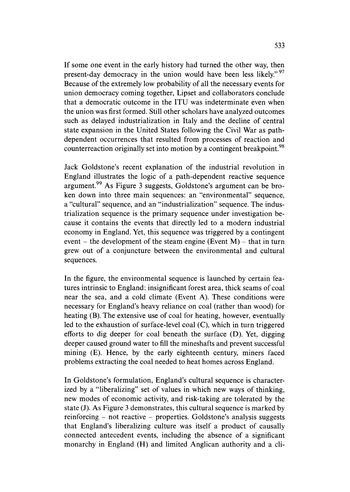**If some one event in the early history had turned the other way, then present-day democracy in the union would have been less likely."97 Because of the extremely low probability of all the necessary events for union democracy coming together, Lipset and collaborators conclude that a democratic outcome in the ITU was indeterminate even when the union was first formed. Still other scholars have analyzed outcomes such as delayed industrialization in Italy and the decline of central state expansion in the United States following the Civil War as pathdependent occurrences that resulted from processes of reaction and counterreaction originally set into motion by a contingent breakpoint.98** 

**Jack Goldstone's recent explanation of the industrial revolution in England illustrates the logic of a path-dependent reactive sequence argument.99 As Figure 3 suggests, Goldstone's argument can be broken down into three main sequences: an "environmental" sequence, a "cultural" sequence, and an "industrialization" sequence. The industrialization sequence is the primary sequence under investigation because it contains the events that directly led to a modern industrial economy in England. Yet, this sequence was triggered by a contingent event - the development of the steam engine (Event M) - that in turn grew out of a conjuncture between the environmental and cultural sequences.** 

**In the figure, the environmental sequence is launched by certain features intrinsic to England: insignificant forest area, thick seams of coal near the sea, and a cold climate (Event A). These conditions were necessary for England's heavy reliance on coal (rather than wood) for heating (B). The extensive use of coal for heating, however, eventually led to the exhaustion of surface-level coal (C), which in turn triggered efforts to dig deeper for coal beneath the surface (D). Yet, digging deeper caused ground water to fill the mineshafts and prevent successful mining (E). Hence, by the early eighteenth century, miners faced problems extracting the coal needed to heat homes across England.** 

**In Goldstone's formulation, England's cultural sequence is characterized by a "liberalizing" set of values in which new ways of thinking, new modes of economic activity, and risk-taking are tolerated by the state (J). As Figure 3 demonstrates, this cultural sequence is marked by reinforcing - not reactive - properties. Goldstone's analysis suggests that England's liberalizing culture was itself a product of causally connected antecedent events, including the absence of a significant monarchy in England (H) and limited Anglican authority and a cli-**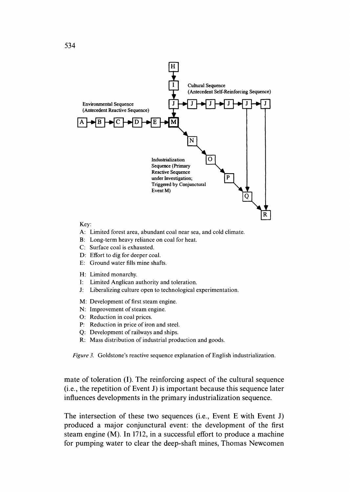

#### **Key:**

- **A: Limited forest area, abundant coal near sea, and cold climate.**
- **B: Long-term heavy reliance on coal for heat.**
- **C: Surface coal is exhausted.**
- **D: Effort to dig for deeper coal.**
- **E: Ground water fills mine shafts.**
- **H: Limited monarchy.**
- **I: Limited Anglican authority and toleration.**
- **J: Liberalizing culture open to technological experimentation.**
- **M: Development of first steam engine.**
- **N: Improvement of steam engine.**
- **0: Reduction in coal prices.**
- **P: Reduction in price of iron and steel.**
- **Q: Development of railways and ships.**
- **R: Mass distribution of industrial production and goods.**

**Figure 3. Goldstone's reactive sequence explanation of English industrialization.** 

**mate of toleration (I). The reinforcing aspect of the cultural sequence (i.e., the repetition of Event J) is important because this sequence later influences developments in the primary industrialization sequence.** 

**The intersection of these two sequences (i.e., Event E with Event J) produced a major conjunctural event: the development of the first steam engine (M). In 1712, in a successful effort to produce a machine for pumping water to clear the deep-shaft mines, Thomas Newcomen**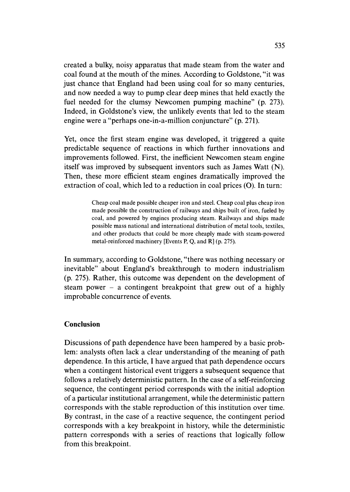**created a bulky, noisy apparatus that made steam from the water and coal found at the mouth of the mines. According to Goldstone, "it was just chance that England had been using coal for so many centuries, and now needed a way to pump clear deep mines that held exactly the**  fuel needed for the clumsy Newcomen pumping machine" (p. 273). **Indeed, in Goldstone's view, the unlikely events that led to the steam engine were a "perhaps one-in-a-million conjuncture" (p. 271).** 

**Yet, once the first steam engine was developed, it triggered a quite predictable sequence of reactions in which further innovations and improvements followed. First, the inefficient Newcomen steam engine itself was improved by subsequent inventors such as James Watt (N). Then, these more efficient steam engines dramatically improved the extraction of coal, which led to a reduction in coal prices (O). In turn:** 

> **Cheap coal made possible cheaper iron and steel. Cheap coal plus cheap iron made possible the construction of railways and ships built of iron, fueled by coal, and powered by engines producing steam. Railways and ships made possible mass national and international distribution of metal tools, textiles, and other products that could be more cheaply made with steam-powered metal-reinforced machinery [Events P, Q, and R] (p. 275).**

**In summary, according to Goldstone, "there was nothing necessary or inevitable" about England's breakthrough to modern industrialism (p. 275). Rather, this outcome was dependent on the development of steam power - a contingent breakpoint that grew out of a highly improbable concurrence of events.** 

#### **Conclusion**

**Discussions of path dependence have been hampered by a basic problem: analysts often lack a clear understanding of the meaning of path dependence. In this article, I have argued that path dependence occurs when a contingent historical event triggers a subsequent sequence that follows a relatively deterministic pattern. In the case of a self-reinforcing sequence, the contingent period corresponds with the initial adoption of a particular institutional arrangement, while the deterministic pattern corresponds with the stable reproduction of this institution over time. By contrast, in the case of a reactive sequence, the contingent period corresponds with a key breakpoint in history, while the deterministic pattern corresponds with a series of reactions that logically follow from this breakpoint.**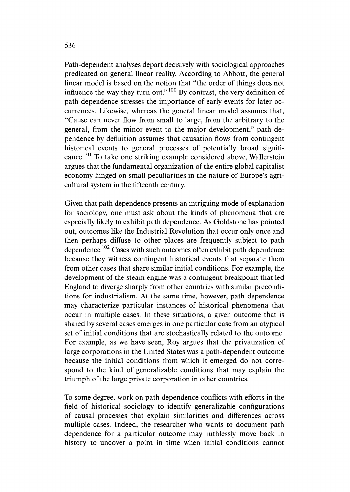**Path-dependent analyses depart decisively with sociological approaches predicated on general linear reality. According to Abbott, the general linear model is based on the notion that "the order of things does not influence the way they turn out." 100 By contrast, the very definition of path dependence stresses the importance of early events for later occurrences. Likewise, whereas the general linear model assumes that, "Cause can never flow from small to large, from the arbitrary to the general, from the minor event to the major development," path dependence by definition assumes that causation flows from contingent historical events to general processes of potentially broad significance.101 To take one striking example considered above, Wallerstein argues that the fundamental organization of the entire global capitalist economy hinged on small peculiarities in the nature of Europe's agricultural system in the fifteenth century.** 

**Given that path dependence presents an intriguing mode of explanation for sociology, one must ask about the kinds of phenomena that are especially likely to exhibit path dependence. As Goldstone has pointed out, outcomes like the Industrial Revolution that occur only once and then perhaps diffuse to other places are frequently subject to path dependence.102 Cases with such outcomes often exhibit path dependence because they witness contingent historical events that separate them from other cases that share similar initial conditions. For example, the development of the steam engine was a contingent breakpoint that led England to diverge sharply from other countries with similar preconditions for industrialism. At the same time, however, path dependence may characterize particular instances of historical phenomena that occur in multiple cases. In these situations, a given outcome that is shared by several cases emerges in one particular case from an atypical set of initial conditions that are stochastically related to the outcome. For example, as we have seen, Roy argues that the privatization of large corporations in the United States was a path-dependent outcome because the initial conditions from which it emerged do not correspond to the kind of generalizable conditions that may explain the triumph of the large private corporation in other countries.** 

**To some degree, work on path dependence conflicts with efforts in the field of historical sociology to identify generalizable configurations of causal processes that explain similarities and differences across multiple cases. Indeed, the researcher who wants to document path dependence for a particular outcome may ruthlessly move back in history to uncover a point in time when initial conditions cannot**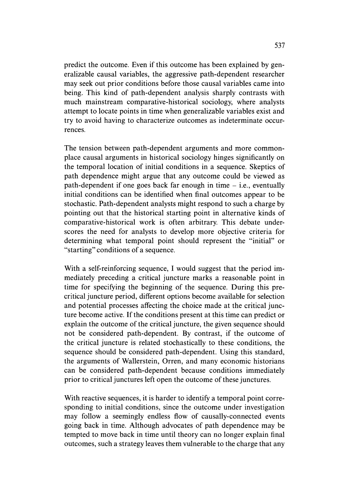**predict the outcome. Even if this outcome has been explained by generalizable causal variables, the aggressive path-dependent researcher may seek out prior conditions before those causal variables came into being. This kind of path-dependent analysis sharply contrasts with much mainstream comparative-historical sociology, where analysts attempt to locate points in time when generalizable variables exist and try to avoid having to characterize outcomes as indeterminate occurrences.** 

**The tension between path-dependent arguments and more commonplace causal arguments in historical sociology hinges significantly on the temporal location of initial conditions in a sequence. Skeptics of path dependence might argue that any outcome could be viewed as**  path-dependent if one goes back far enough in time – i.e., eventually **initial conditions can be identified when final outcomes appear to be stochastic. Path-dependent analysts might respond to such a charge by pointing out that the historical starting point in alternative kinds of comparative-historical work is often arbitrary. This debate underscores the need for analysts to develop more objective criteria for determining what temporal point should represent the "initial" or "starting" conditions of a sequence.** 

**With a self-reinforcing sequence, I would suggest that the period immediately preceding a critical juncture marks a reasonable point in time for specifying the beginning of the sequence. During this precritical juncture period, different options become available for selection and potential processes affecting the choice made at the critical juncture become active. If the conditions present at this time can predict or explain the outcome of the critical juncture, the given sequence should not be considered path-dependent. By contrast, if the outcome of the critical juncture is related stochastically to these conditions, the sequence should be considered path-dependent. Using this standard, the arguments of Wallerstein, Orren, and many economic historians can be considered path-dependent because conditions immediately prior to critical junctures left open the outcome of these junctures.** 

**With reactive sequences, it is harder to identify a temporal point corresponding to initial conditions, since the outcome under investigation may follow a seemingly endless flow of causally-connected events going back in time. Although advocates of path dependence may be tempted to move back in time until theory can no longer explain final outcomes, such a strategy leaves them vulnerable to the charge that any**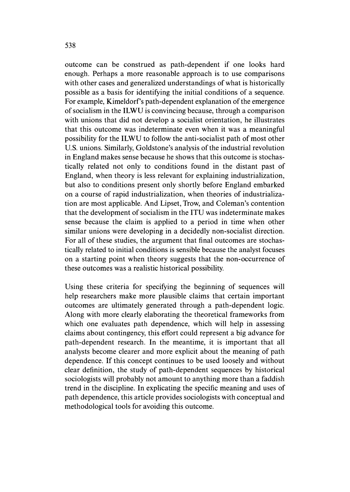**outcome can be construed as path-dependent if one looks hard enough. Perhaps a more reasonable approach is to use comparisons with other cases and generalized understandings of what is historically possible as a basis for identifying the initial conditions of a sequence. For example, Kimeldorf's path-dependent explanation of the emergence of socialism in the ILWU is convincing because, through a comparison with unions that did not develop a socialist orientation, he illustrates that this outcome was indeterminate even when it was a meaningful possibility for the ILWU to follow the anti-socialist path of most other U.S. unions. Similarly, Goldstone's analysis of the industrial revolution in England makes sense because he shows that this outcome is stochastically related not only to conditions found in the distant past of England, when theory is less relevant for explaining industrialization, but also to conditions present only shortly before England embarked on a course of rapid industrialization, when theories of industrialization are most applicable. And Lipset, Trow, and Coleman's contention that the development of socialism in the ITU was indeterminate makes sense because the claim is applied to a period in time when other similar unions were developing in a decidedly non-socialist direction. For all of these studies, the argument that final outcomes are stochastically related to initial conditions is sensible because the analyst focuses on a starting point when theory suggests that the non-occurrence of these outcomes was a realistic historical possibility.** 

**Using these criteria for specifying the beginning of sequences will help researchers make more plausible claims that certain important outcomes are ultimately generated through a path-dependent logic. Along with more clearly elaborating the theoretical frameworks from which one evaluates path dependence, which will help in assessing claims about contingency, this effort could represent a big advance for path-dependent research. In the meantime, it is important that all analysts become clearer and more explicit about the meaning of path dependence. If this concept continues to be used loosely and without clear definition, the study of path-dependent sequences by historical sociologists will probably not amount to anything more than a faddish trend in the discipline. In explicating the specific meaning and uses of path dependence, this article provides sociologists with conceptual and methodological tools for avoiding this outcome.**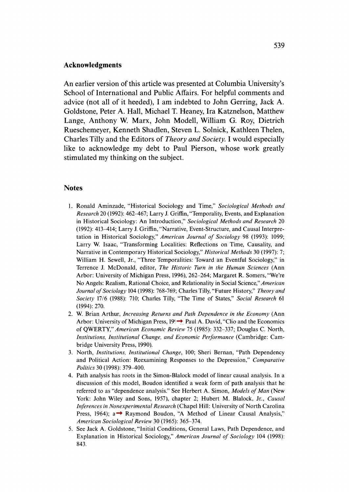#### **Acknowledgments**

**An earlier version of this article was presented at Columbia University's School of International and Public Affairs. For helpful comments and advice (not all of it heeded), I am indebted to John Gerring, Jack A. Goldstone, Peter A. Hall, Michael T. Heaney, Ira Katznelson, Matthew Lange, Anthony W. Marx, John Modell, William G. Roy, Dietrich Rueschemeyer, Kenneth Shadlen, Steven L. Solnick, Kathleen Thelen, Charles Tilly and the Editors of Theory and Society. I would especially like to acknowledge my debt to Paul Pierson, whose work greatly stimulated my thinking on the subject.** 

#### **Notes**

- **1. Ronald Aminzade, "Historical Sociology and Time," Sociological Methods and Research 20 (1992): 462-467; Larry J. Griffin, "Temporality, Events, and Explanation in Historical Sociology: An Introduction," Sociological Methods and Research 20 (1992): 413-414; Larry J. Griffin, "Narrative, Event-Structure, and Causal Interpretation in Historical Sociology," American Journal of Sociology 98 (1993): 1099; Larry W. Isaac, "Transforming Localities: Reflections on Time, Causality, and Narrative in Contemporary Historical Sociology," Historical Methods 30 (1997): 7; William H. Sewell, Jr., "Three Temporalities: Toward an Eventful Sociology," in Terrence J. McDonald, editor, The Historic Turn in the Human Sciences (Ann Arbor: University of Michigan Press, 1996), 262-264; Margaret R. Somers, "We're No Angels: Realism, Rational Choice, and Relationality in Social Science," American Journal of Sociology 104 (1998): 768-769; Charles Tilly, "Future History," Theory and Society 17/6 (1988): 710; Charles Tilly, "The Time of States," Social Research 61 (1994): 270.**
- **2. W. Brian Arthur, Increasing Returns and Path Dependence in the Economy (Ann Arbor: University of Michigan Press, 1994); Paul A. David, "Clio and the Economics of QWERTY," American Economic Review 75 (1985): 332-337; Douglas C. North, Institutions, Institutional Change, and Economic Performance (Cambridge: Cambridge University Press, 1990).**
- **3. North, Institutions, Institutional Change, 100; Sheri Bernan, "Path Dependency and Political Action: Reexamining Responses to the Depression," Comparative Politics 30 (1998): 379-400.**
- **4. Path analysis has roots in the Simon-Blalock model of linear causal analysis. In a discussion of this model, Boudon identified a weak form of path analysis that he referred to as "dependence analysis." See Herbert A. Simon, Models of Man (New York: John Wiley and Sons, 1957), chapter 2; Hubert M. Blalock, Jr., Causal Inferences in Nonexperimental Research (Chapel Hill: University of North Carolina**  Press, 1964); a→ Raymond Boudon, "A Method of Linear Causal Analysis," **American Sociological Review 30 (1965): 365-374.**
- **5. See Jack A. Goldstone, "Initial Conditions, General Laws, Path Dependence, and Explanation in Historical Sociology," American Journal of Sociology 104 (1998): 843.**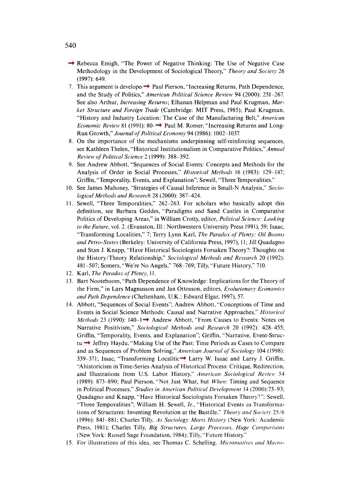- **6. Rebecca Emigh, "The Power of Negative Thinking: The Use of Negative Case Methodology in the Development of Sociological Theory," Theory and Society 26 (1997): 649.**
- 7. This argument is developed  $\rightarrow$  Paul Pierson, "Increasing Returns, Path Dependence, **and the Study of Politics," American Political Science Review 94 (2000): 251-267. See also Arthur, Increasing Returns; Elhanan Helpman and Paul Krugman, Market Structure and Foreign Trade (Cambridge: MIT Press, 1985); Paul Krugman, "History and Industry Location: The Case of the Manufacturing Belt," American**  *Economic Review* 81 (1991): 80− → Paul M. Romer, "Increasing Returns and Long-**Run Growth," Journal of Political Economy 94 (1986): 1002-1037.**
- **8. On the importance of the mechanisms underpinning self-reinforcing sequences, see Kathleen Thelen, "Historical Institutionalism in Comparative Politics," Annual Review of Political Science 2 (1999): 388-392.**
- **9. See Andrew Abbott, "Sequences of Social Events: Concepts and Methods for the Analysis of Order in Social Processes," Historical Methods 16 (1983): 129-147; Griffin, "Temporality, Events, and Explanation"; Sewell, "Three Temporalities."**
- **10. See James Mahoney, "Strategies of Causal Inference in Small-N Analysis," Sociological Methods and Research 28 (2000): 387-424.**
- **11. Sewell, "Three Temporalities," 262-263. For scholars who basically adopt this definition, see Barbara Geddes, "Paradigms and Sand Castles in Comparative Politics of Developing Areas," in William Crotty, editor, Political Science. Looking to the Future, vol. 2. (Evanston, Ill.: Northwestern University Press 1991), 59; Isaac, "Transforming Localities," 7; Terry Lynn Karl, The Paradox of Plenty. Oil Booms and Petro-States (Berkeley: University of California Press, 1997), 11; Jill Quadagno and Stan J. Knapp, "Have Historical Sociologists Forsaken Theory?: Thoughts on the History/Theory Relationship," Sociological Methods and Research 20 (1992): 481-507; Somers, "We're No Angels," 768-769; Tilly, "Future History," 710.**
- **12. Karl, The Paradox of Plenty, 11.**
- **13. Bart Nooteboom, "Path Dependence of Knowledge: Implications for the Theory of the Firm," in Lars Magnusson and Jan Ottosson, editors, Evolutionary Economics and Path Dependence (Cheltenham, U.K.: Edward Elgar, 1997), 57.**
- **14. Abbott, "Sequences of Social Events"; Andrew Abbott, "Conceptions of Time and Events in Social Science Methods: Causal and Narrative Approaches," Historical**  *Methods* 23 (1990): 140–1→ Andrew Abbott, "From Causes to Events: Notes on **Narrative Positivism," Sociological Methods and Research 20 (1992): 428-455; Griffin, "Temporality, Events, and Explanation"; Griffin, "Narrative, Event-Struc**tu **+** Jeffrey Haydu, "Making Use of the Past: Time Periods as Cases to Compare **and as Sequences of Problem Solving," American Journal of Sociology 104 (1998): 339-371; Issac, "Transforming Localitie**  $\rightarrow$  **Larry W. Isaac and Larry J. Griffin, "Ahistoricism in Time-Series Analysis of Historical Process: Critique, Redirection, and Illustrations from U.S. Labor History," American Sociological Review 54 (1989): 873-890; Paul Pierson, "Not Just What, but When: Timing and Sequence in Political Processes," Studies in American Political Development 14 (2000):73-93; Quadagno and Knapp, "Have Historical Sociologists Forsaken Theory?"; Sewell, "Three Temporalities"; William H. Sewell, Jr., "Historical Events as Transformations of Structures: Inventing Revolution at the Bastille," Theory and Society 25/6 (1996): 841-881; Charles Tilly, As Sociology Meets History (New York: Academic**  Press, 1981); Charles Tilly, Big Structures, Large Processes, Huge Comparisons **(New York: Russell Sage Foundation, 1984); Tilly, "Future History."**
- **15. For illustrations of this idea, see Thomas C. Schelling, Micromotives cand Macro-**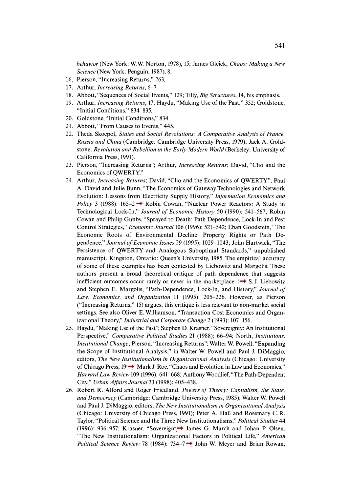**behavior (New York: W.W. Norton, 1978), 15; James Gleick, Chaos: Making a New Science (New York: Penguin, 1987), 8.** 

- **16. Pierson, "Increasing Returns," 263.**
- **17. Arthur, Increasing Returns, 6-7.**
- **18. Abbott, "Sequences of Social Events," 129; Tilly, Big Structures, 14, his emphasis.**
- **19. Arthur, Increasing Returns, 17; Haydu, "Making Use of the Past," 352; Goldstone, "Initial Conditions," 834-835.**
- **20. Goldstone, "Initial Conditions," 834.**
- **21. Abbott, "From Causes to Events," 445.**
- **22. Theda Skocpol, States and Social Revolutions: A Comparative Analysis of France, Russia and China (Cambridge: Cambridge University Press, 1979); Jack A. Goldstone, Revolution and Rebellion in the Early Modern World (Berkeley: University of California Press, 1991).**
- **23. Pierson, "Increasing Returns"; Arthur, Increasing Returns; David, "Clio and the Economics of QWERTY."**
- **24. Arthur, Increasing Returns; David, "Clio and the Economics of QWERTY"; Paul A. David and Julie Bunn, "The Economics of Gateway Technologies and Network Evolution: Lessons from Electricity Supply History," Information Economics and**  Policy 3 (1988): 165-2 → Robin Cowan, "Nuclear Power Reactors: A Study in **Technological Lock-In," Journal of Economic History 50 (1990): 541-567; Robin Cowan and Philip Gunby, "Sprayed to Death: Path Dependence, Lock-In and Pest Control Strategies," Economic Journal 106 (1996): 521-542; Eban Goodstein, "The Economic Roots of Environmental Decline: Property Rights or Path Dependence," Journal of Economic Issues 29 (1995): 1029-1043; John Hartwick, "The Persistence of QWERTY and Analogous Suboptimal Standards," unpublished manuscript. Kingston, Ontario: Queen's University, 1985. The empirical accuracy of some of these examples has been contested by Liebowitz and Margolis. These authors present a broad theoretical critique of path dependence that suggests**  inefficient outcomes occur rarely or never in the marketplace.  $\rightarrow$  S. J. Liebowitz **and Stephen E. Margolis, "Path-Dependence, Lock-In, and History," Journal of Law, Economics, and Organization 11 (1995): 205-226. However, as Pierson ("Increasing Returns," 15) argues, this critique is less relevant to non-market social settings. See also Oliver E. Williamson, "Transaction Cost Economics and Organizational Theory," Industrial and Corporate Change 2 (1993): 107-156.**
- **25. Haydu, "Making Use of the Past"; Stephen D. Krasner, "Sovereignty: An Institutional Perspective," Comparative Political Studies 21 (1988): 66-94; North, Institutions, Institutional Change; Pierson, "Increasing Returns"; Walter W. Powell, "Expanding the Scope of Institutional Analysis," in Walter W. Powell and Paul J. DiMaggio, editors, The New Institutionalism in Organizational Analysis (Chicago: University**  of Chicago Press, 19 → Mark J. Roe, "Chaos and Evolution in Law and Economics," **Harvard Law Review 109 (1996): 641-668; Anthony Woodlief, "The Path-Dependent City," Urban Affairs Journal 33 (1998): 405-438.**
- **26. Robert R. Alford and Roger Friedland, Powers of Theory: Capitalism, the State, and Democracy (Cambridge: Cambridge University Press, 1985); Walter W. Powell and Paul J. DiMaggio, editors, The New Institutionalism in Organizational Analysis (Chicago: University of Chicago Press, 1991); Peter A. Hall and Rosemary C. R. Taylor, "Political Science and the Three New Institutionalisms," Political Studies 44 (1996): 936–957; Krasner, "Sovereignt**  $\rightarrow$  **James G. March and Johan P. Olsen, "The New Institutionalism: Organizational Factors in Political Life," American**  Political Science Review 78 (1984): 734-7→ John W. Meyer and Brian Rowan,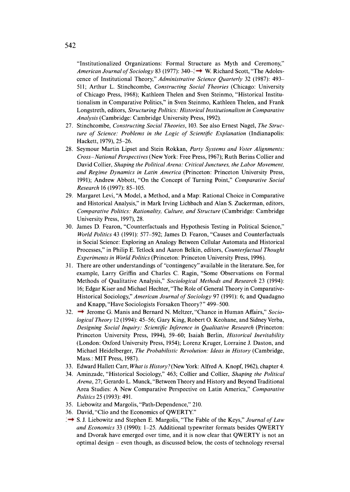**"Institutionalized Organizations: Formal Structure as Myth and Ceremony,"**  American Journal of Sociology 83 (1977): 340<sup>-2</sup> → W. Richard Scott, "The Adoles**cence of Institutional Theory," Administrative Science Quarterly 32 (1987): 493- 511; Arthur L. Stinchcombe, Constructing Social Theories (Chicago: University of Chicago Press, 1968); Kathleen Thelen and Sven Steinmo, "Historical Institutionalism in Comparative Politics," in Sven Steinmo, Kathleen Thelen, and Frank Longstreth, editors, Structuring Politics. Historical Institutionalism in Comparative Analysis (Cambridge: Cambridge University Press, 1992).** 

- **27. Stinchcombe, Constructing Social Theories, 103. See also Ernest Nagel, The Structure of Science: Problems in the Logic of Scientific Explanation (Indianapolis: Hackett, 1979), 25-26.**
- **28. Seymour Martin Lipset and Stein Rokkan, Party Systems and Voter Alignments. Cross-National Perspectives (New York: Free Press, 1967); Ruth Berins Collier and David Collier, Shaping the Political Arena: Critical Junctures, the Labor Movement, and Regime Dynamics in Latin America (Princeton: Princeton University Press, 1991); Andrew Abbott, "On the Concept of Turning Point," Comparative Social Research 16 (1997): 85-105.**
- **29. Margaret Levi, "A Model, a Method, and a Map: Rational Choice in Comparative and Historical Analysis," in Mark Irving Lichbach and Alan S. Zuckerman, editors, Comparative Politics. Rationality, Culture, and Structure (Cambridge: Cambridge University Press, 1997), 28.**
- **30. James D. Fearon, "Counterfactuals and Hypothesis Testing in Political Science," World Politics 43 (1991): 577-592; James D. Fearon, "Causes and Counterfactuals in Social Science: Exploring an Analogy Between Cellular Automata and Historical Processes," in Philip E. Tetlock and Aaron Belkin, editors, Counterfactual Thought Experiments in World Politics (Princeton: Princeton University Press, 1996).**
- **31. There are other understandings of "contingency" available in the literature. See, for example, Larry Griffin and Charles C. Ragin, "Some Observations on Formal Methods of Qualitative Analysis," Sociological Methods and Research 23 (1994): 16; Edgar Kiser and Michael Hechter, "The Role of General Theory in Comparative-Historical Sociology," American Journal of Sociology 97 (1991): 6; and Quadagno and Knapp, "Have Sociologists Forsaken Theory?" 499-500.**
- 32.  $\rightarrow$  **Jerome G. Manis and Bernard N. Meltzer, "Chance in Human Affairs," Sociological Theory 12 (1994): 45-56; Gary King, Robert O. Keohane, and Sidney Verba, Designing Social Inquiry. Scientific Inference in Qualitative Research (Princeton: Princeton University Press, 1994), 59-60; Isaiah Berlin, Historical Inevitability (London: Oxford University Press, 1954); Lorenz Kruger, Lorraine J. Daston, and Michael Heidelberger, The Probabilistic Revolution. Ideas in History (Cambridge, Mass.: MIT Press, 1987).**
- **33. Edward Hallett Carr, What is History? (New York: Alfred A. Knopf, 1962), chapter 4.**
- **34. Aminzade, "Historical Sociology," 463; Collier and Collier, Shaping the Political Arena, 27; Gerardo L. Munck, "Between Theory and History and Beyond Traditional Area Studies: A New Comparative Perspective on Latin America," Comparative Politics 25 (1993): 491.**
- **35. Liebowitz and Margolis, "Path-Dependence," 210.**
- **36. David, "Clio and the Economics of QWERTY."**
- 37. **37. S. J. Liebowitz and Stephen E. Margolis, "The Fable of the Keys," Journal of Law and Economics 33 (1990): 1-25. Additional typewriter formats besides QWERTY and Dvorak have emerged over time, and it is now clear that QWERTY is not an optimal design - even though, as discussed below, the costs of technology reversal**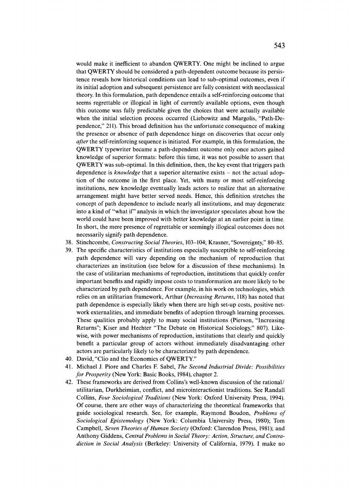**would make it inefficient to abandon QWERTY. One might be inclined to argue that QWERTY should be considered a path-dependent outcome because its persistence reveals how historical conditions can lead to sub-optimal outcomes, even if its initial adoption and subsequent persistence are fully consistent with neoclassical theory. In this formulation, path dependence entails a self-reinforcing outcome that seems regrettable or illogical in light of currently available options, even though this outcome was fully predictable given the choices that were actually available when the initial selection process occurred (Liebowitz and Margolis, "Path-Dependence," 211). This broad definition has the unfortunate consequence of making the presence or absence of path dependence hinge on discoveries that occur only after the self-reinforcing sequence is initiated. For example, in this formulation, the QWERTY typewriter became a path-dependent outcome only once actors gained knowledge of superior formats: before this time, it was not possible to assert that QWERTY was sub-optimal. In this definition, then, the key event that triggers path**  dependence is *knowledge* that a superior alternative exists - not the actual adop**tion of the outcome in the first place. Yet, with many or most self-reinforcing institutions, new knowledge eventually leads actors to realize that an alternative arrangement might have better served needs. Hence, this definition stretches the concept of path dependence to include nearly all institutions, and may degenerate into a kind of "what if" analysis in which the investigator speculates about how the world could have been improved with better knowledge at an earlier point in time. In short, the mere presence of regrettable or seemingly illogical outcomes does not necessarily signify path dependence.** 

- **38. Stinchcombe, Constructing Social Theories, 103-104; Krasner, "Sovereignty," 80-85.**
- **39. The specific characteristics of institutions especially susceptible to self-reinforcing path dependence will vary depending on the mechanism of reproduction that characterizes an institution (see below for a discussion of these mechanisms). In the case of utilitarian mechanisms of reproduction, institutions that quickly confer important benefits and rapidly impose costs to transformation are more likely to be characterized by path dependence. For example, in his work on technologies, which relies on an utilitarian framework, Arthur (Increasing Returns, 118) has noted that path dependence is especially likely when there are high set-up costs, positive network externalities, and immediate benefits of adoption through learning processes. These qualities probably apply to many social institutions (Pierson, "Increasing Returns"; Kiser and Hechter "The Debate on Historical Sociology," 807). Likewise, with power mechanisms of reproduction, institutions that clearly and quickly benefit a particular group of actors without immediately disadvantaging other actors are particularly likely to be characterized by path dependence.**
- **40. David, "Clio and the Economics of QWERTY."**
- **41. Michael J. Piore and Charles F. Sabel, The Second Industrial Divide: Possibilities for Prosperity (New York: Basic Books, 1984), chapter 2.**
- **42. These frameworks are derived from Collins's well-known discussion of the rational/ utilitarian, Durkheimian, conflict, and microinteractionist traditions. See Randall Collins, Four Sociological Traditions (New York: Oxford University Press, 1994). Of course, there are other ways of characterizing the theoretical frameworks that guide sociological research. See, for example, Raymond Boudon, Problems of Sociological Epistemology (New York: Columbia University Press, 1980); Tom Campbell, Seven Theories of Human Society (Oxford: Clarendon Press, 1981); and Anthony Giddens, Central Problems in Social Theory: Action, Structure, and Contradiction in Social Analysis (Berkeley: University of California, 1979). I make no**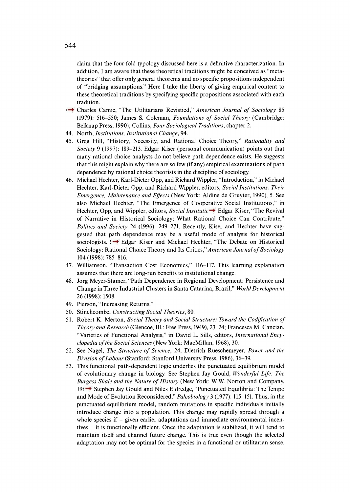**claim that the four-fold typology discussed here is a definitive characterization. In addition, I am aware that these theoretical traditions might be conceived as "metatheories" that offer only general theorems and no specific propositions independent of "bridging assumptions." Here I take the liberty of giving empirical content to these theoretical traditions by specifying specific propositions associated with each tradition.** 

- **43. Charles Camic, "The Utilitarians Revistied," American Journal of Sociology 85 (1979): 516-550; James S. Coleman, Foundations of Social Theory (Cambridge: Belknap Press, 1990); Collins, Four Sociological Traditions, chapter 2.**
- **44. North, Institutions, Institutional Change, 94.**
- **45. Greg Hill, "History, Necessity, and Rational Choice Theory," Rationality and Society 9 (1997): 189-213. Edgar Kiser (personal communication) points out that many rational choice analysts do not believe path dependence exists. He suggests that this might explain why there are so few (if any) empirical examinations of path dependence by rational choice theorists in the discipline of sociology.**
- **46. Michael Hechter, Karl-Dieter Opp, and Richard Wippler, "Introduction," in Michael Hechter, Karl-Dieter Opp, and Richard Wippler, editors, Social Institutions. Their Emergence, Maintenance and Effects (New York: Aldine de Gruyter, 1990), 5. See also Michael Hechter, "The Emergence of Cooperative Social Institutions," in**  Hechter, Opp, and Wippler, editors, Social Institutic → Edgar Kiser, "The Revival **of Narrative in Historical Sociology: What Rational Choice Can Contribute," Politics and Society 24 (1996): 249-271. Recently, Kiser and Hechter have suggested that path dependence may be a useful mode of analysis for historical**  sociologists. **See Edgar Kiser and Michael Hechter, "The Debate on Historical and Allen Sociology: Rational Choice Theory and Its Critics," American Journal of Sociology 104 (1998): 785-816.**
- **47. Williamson, "Transaction Cost Economics," 116-117. This learning explanation assumes that there are long-run benefits to institutional change.**
- **48. Jorg Meyer-Stamer, "Path Dependence in Regional Development: Persistence and Change in Three Industrial Clusters in Santa Catarina, Brazil," World Development 26 (1998): 1508.**
- **49. Pierson, "Increasing Returns."**
- **50. Stinchcombe, Constructing Social Theories, 80.**
- **51. Robert K. Merton, Social Theory and Social Structure: Toward the Codification of Theory and Research (Glencoe, Ill.: Free Press, 1949), 23-24; Francesca M. Cancian, "Varieties of Functional Analysis," in David L. Sills, editors, International Encyclopedia of the Social Sciences (New York: MacMillan, 1968), 30.**
- **52. See Nagel, The Structure of Science, 24; Dietrich Rueschemeyer, Power and the Division of Labour (Stanford: Stanford University Press, 1986), 36-39.**
- **53. This functional path-dependent logic underlies the punctuated equilibrium model of evolutionary change in biology. See Stephen Jay Gould, Wonderful Life. The Burgess Shale and the Nature of History (New York: W.W. Norton and Company,**  198<sup> $\rightarrow$ </sup> Stephen Jay Gould and Niles Eldredge, "Punctuated Equilibria: The Tempo **and Mode of Evolution Reconsidered," Paleobiology 3 (1977): 115-151. Thus, in the punctuated equilibrium model, random mutations in specific individuals initially introduce change into a population. This change may rapidly spread through a**  whole species if – given earlier adaptations and immediate environmental incen**tives - it is functionally efficient. Once the adaptation is stabilized, it will tend to maintain itself and channel future change. This is true even though the selected adaptation may not be optimal for the species in a functional or utilitarian sense.**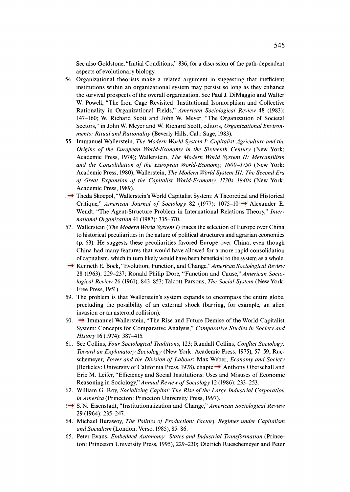**See also Goldstone, "Initial Conditions," 836, for a discussion of the path-dependent aspects of evolutionary biology.** 

- **54. Organizational theorists make a related argument in suggesting that inefficient institutions within an organizational system may persist so long as they enhance the survival prospects of the overall organization. See Paul J. DiMaggio and Walter**  W. Powell, "The Iron Cage Revisited: Institutional Isomorphism and Collective **Rationality in Organizational Fields," American Sociological Review 48 (1983): 147-160; W Richard Scott and John W Meyer, "The Organization of Societal Sectors," in John W. Meyer and W. Richard Scott, editors, Organizational Environments: Ritual and Rationality (Beverly Hills, Cal.: Sage, 1983).**
- **55. Immanuel Wallerstein, The Modern World System I: Capitalist Agriculture and the Origins of the European World-Economy in the Sixteenth Century (New York: Academic Press, 1974); Wallerstein, The Modern World System II: Mercantilism and the Consolidation of the European World-Economy, 1600-1750 (New York: Academic Press, 1980); Wallerstein, The Modern World System III: The Second Era of Great Expansion of the Capitalist World-Economy, 1730s-1840s (New York: Academic Press, 1989).**
- **56. Theda Skocpol, "Wallerstein's World Capitalist System: A Theoretical and Historical**  Critique," American Journal of Sociology 82 (1977): 1075-10! Alexander E. **Wendt, "The Agent-Structure Problem in International Relations Theory," International Organization 41 (1987): 335-370.**
- **57. Wallerstein (The Modern World System I) traces the selection of Europe over China to historical peculiarities in the nature of political structures and agrarian economies (p. 63). He suggests these peculiarities favored Europe over China, even though China had many features that would have allowed for a more rapid consolidation of capitalism, which in turn likely would have been beneficial to the system as a whole.**
- $\rightarrow$  **Kenneth E. Bock, "Evolution, Function, and Change," American Sociological Review 28 (1963): 229-237; Ronald Philip Dore, "Function and Cause," American Sociological Review 26 (1961): 843-853; Talcott Parsons, The Social System (New York: Free Press, 1951).**
- **59. The problem is that Wallerstein's system expands to encompass the entire globe, precluding the possibility of an external shock (barring, for example, an alien invasion or an asteroid collision).**
- **60.**  $\rightarrow$  Immanuel Wallerstein, "The Rise and Future Demise of the World Capitalist **System: Concepts for Comparative Analysis," Comparative Studies in Society and History 16 (1974): 387-415.**
- **61. See Collins, Four Sociological Traditions, 123; Randall Collins, Conflict Sociology. Toward an Explanatory Sociology (New York: Academic Press, 1975), 57-59; Rueschemeyer, Power and the Division of Labour; Max Weber, Economy and Society (Berkeley: University of California Press, 1978), chapte**  $\rightarrow$  Anthony Oberschall and **Eric M. Leifer, "Efficiency and Social Institutions: Uses and Misuses of Economic Reasoning in Sociology," Annual Review of Sociology 12 (1986): 233-253.**
- **62. William G. Roy, Socializing Capital: The Rise of the Large Industrial Corporation in America (Princeton: Princeton University Press, 1997).**
- **6 63. N. Eisenstadt, "Institutionalization and Change," American Sociological Review 29 (1964): 235-247.**
- **64. Michael Burawoy, The Politics of Production: Factory Regimes under Capitalism and Socialism (London: Verso, 1985), 85-86.**
- **65. Peter Evans, Embedded Autonomy: States and Industrial Transformation (Princeton: Princeton University Press, 1995), 229-230; Dietrich Rueschemeyer and Peter**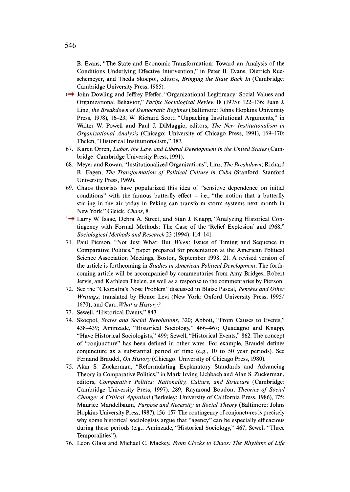**B. Evans, "The State and Economic Transformation: Toward an Analysis of the Conditions Underlying Effective Intervention," in Peter B. Evans, Dietrich Rueschemeyer, and Theda Skocpol, editors, Bringing the State Back In (Cambridge: Cambridge University Press, 1985).** 

- **<del>66. John</del> Dowling and Jeffrey Pfeffer, "Organizational Legitimacy: Social Values and Organizational Behavior," Pacific Sociological Review 18 (1975): 122-136; Juan J. Linz, the Breakdown of Democratic Regimes (Baltimore: Johns Hopkins University Press, 1978), 16-23; W. Richard Scott, "Unpacking Institutional Arguments," in Walter W. Powell and Paul J. DiMaggio, editors, The New Institutionalism in Organizational Analysis (Chicago: University of Chicago Press, 1991), 169-170; Thelen, "Historical Institutionalism," 387.**
- **67. Karen Orren, Labor, the Law, and Liberal Development in the United States (Cambridge: Cambridge University Press, 1991).**
- **68. Meyer and Rowan, "Institutionalized Organizations"; Linz, The Breakdown; Richard R. Fagen, The Transformation of Political Culture in Cuba (Stanford: Stanford University Press, 1969).**
- **69. Chaos theorists have popularized this idea of "sensitive dependence on initial**  conditions" with the famous butterfly effect  $-$  i.e., "the notion that a butterfly **stirring in the air today in Peking can transform storm systems next month in New York." Gleick, Chaos, 8.**
- ↑ Larry W. Isaac, Debra A. Street, and Stan J. Knapp, "Analyzing Historical Con**tingency with Formal Methods: The Case of the 'Relief Explosion' and 1968," Sociological Methods and Research 23 (1994): 114-141.**
- **71. Paul Pierson, "Not Just What, But When: Issues of Timing and Sequence in Comparative Politics," paper prepared for presentation at the American Political Science Association Meetings, Boston, September 1998, 21. A revised version of the article is forthcoming in Studies in American Political Development. The forthcoming article will be accompanied by commentaries from Amy Bridges, Robert Jervis, and Kathleen Thelen, as well as a response to the commentaries by Pierson.**
- **72. See the "Cleopatra's Nose Problem" discussed in Blaise Pascal, Pensees and Other Writings, translated by Honor Levi (New York: Oxford University Press, 1995/ 1670); and Carr, What is History?.**
- **73. Sewell, "Historical Events," 843.**
- **74. Skocpol, States and Social Revolutions, 320; Abbott, "From Causes to Events," 438-439; Aminzade, "Historical Sociology," 466-467; Quadagno and Knapp, "Have Historical Sociologists," 499; Sewell, "Historical Events," 862. The concept of "conjuncture" has been defined in other ways. For example, Braudel defines conjuncture as a substantial period of time (e.g., 10 to 50 year periods). See Fernand Braudel, On History (Chicago: University of Chicago Press, 1980).**
- **75. Alan S. Zuckerman, "Reformulating Explanatory Standards and Advancing Theory in Comparative Politics," in Mark Irving Lichbach and Alan S. Zuckerman, editors, Comparative Politics: Rationality, Culture, and Structure (Cambridge: Cambridge University Press, 1997), 289; Raymond Boudon, Theories of Social Change. A Critical Appraisal (Berkeley: University of California Press, 1986), 175; Maurice Mandelbaum, Purpose and Necessity in Social Theory (Baltimore: Johns Hopkins University Press, 1987), 156-157. The contingency of conjunctures is precisely why some historical sociologists argue that "agency" can be especially efficacious during these periods (e.g., Aminzade, "Historical Sociology," 467; Sewell "Three Temporalities").**
- **76. Leon Glass and Michael C. Mackey, From Clocks to Chaos. The Rhythms of Life**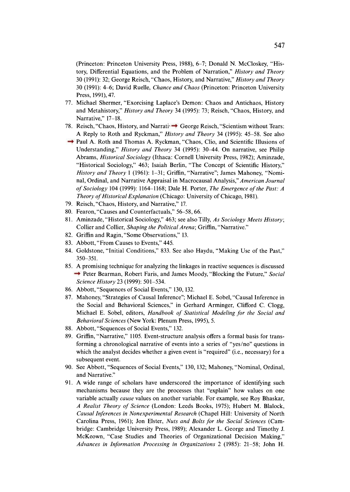**(Princeton: Princeton University Press, 1988), 6-7; Donald N. McCloskey, "History, Differential Equations, and the Problem of Narration," History and Theory 30 (1991): 32; George Reisch, "Chaos, History, and Narrative," History and Theory 30 (1991): 4-6; David Ruelle, Chance and Chaos (Princeton: Princeton University Press, 1991), 47.** 

- **77. Michael Shermer, "Exorcising Laplace's Demon: Chaos and Antichaos, History and Metahistory," History and Theory 34 (1995): 73; Reisch, "Chaos, History, and Narrative," 17-18.**
- 78. Reisch, "Chaos, History, and Narrative George Reisch, "Scientism without Tears: **A Reply to Roth and Ryckman," History and Theory 34 (1995): 45-58. See also**
- **Paul A. Roth and Thomas A. Ryckman, "Chaos, Clio, and Scientific Illusions of Understanding," History and Theory 34 (1995): 30-44. On narrative, see Philip Abrams, Historical Sociology (Ithaca: Cornell University Press, 1982); Aminzade, "Historical Sociology," 463; Isaiah Berlin, "The Concept of Scientific History," History and Theory 1 (1961): 1-31; Griffin, "Narrative"; James Mahoney, "Nominal, Ordinal, and Narrative Appraisal in Macrocausal Analysis," American Journal of Sociology 104 (1999): 1164-1168; Dale H. Porter, The Emergence of the Past. A Theory of Historical Explanation (Chicago: University of Chicago, 1981).**
- **79. Reisch, "Chaos, History, and Narrative," 17.**
- **80. Fearon, "Causes and Counterfactuals," 56-58, 66.**
- **81. Aminzade, "Historical Sociology," 463; see also Tilly, As Sociology Meets History; Collier and Collier, Shaping the Political Arena; Griffin, "Narrative."**
- **82. Griffin and Ragin, "Some Observations," 13.**
- **83. Abbott, "From Causes to Events," 445.**
- **84. Goldstone, "Initial Conditions," 833. See also Haydu, "Making Use of the Past," 350-351.**
- **85. A promising technique for analyzing the linkages in reactive sequences is discussed in Peter Bearman, Robert Faris, and James Moody, "Blocking the Future," Social Science History 23 (1999): 501-534.**
- **86. Abbott, "Sequences of Social Events," 130, 132.**
- **87. Mahoney, "Strategies of Causal Inference"; Michael E. Sobel, "Causal Inference in the Social and Behavioral Sciences," in Gerhard Arminger, Clifford C. Clogg, Michael E. Sobel, editors, Handbook of Statistical Modeling for the Social and Behavioral Sciences (New York: Plenum Press, 1995), 5.**
- **88. Abbott, "Sequences of Social Events," 132.**
- **89. Griffin, "Narrative," 1105. Event-structure analysis offers a formal basis for transforming a chronological narrative of events into a series of "yes/no" questions in which the analyst decides whether a given event is "required" (i.e., necessary) for a subsequent event.**
- **90. See Abbott, "Sequences of Social Events," 130, 132; Mahoney, "Nominal, Ordinal, and Narrative."**
- **91. A wide range of scholars have underscored the importance of identifying such mechanisms because they are the processes that "explain" how values on one variable actually cause values on another variable. For example, see Roy Bhaskar, A Realist Theory of Science (London: Leeds Books, 1975); Hubert M. Blalock, Causal Inferences in Nonexperimental Research (Chapel Hill: University of North Carolina Press, 1961); Jon Elster, Nuts and Bolts for the Social Sciences (Cambridge: Cambridge University Press, 1989); Alexander L. George and Timothy J. McKeown, "Case Studies and Theories of Organizational Decision Making," Advances in Information Processing in Organizations 2 (1985): 21-58; John H.**